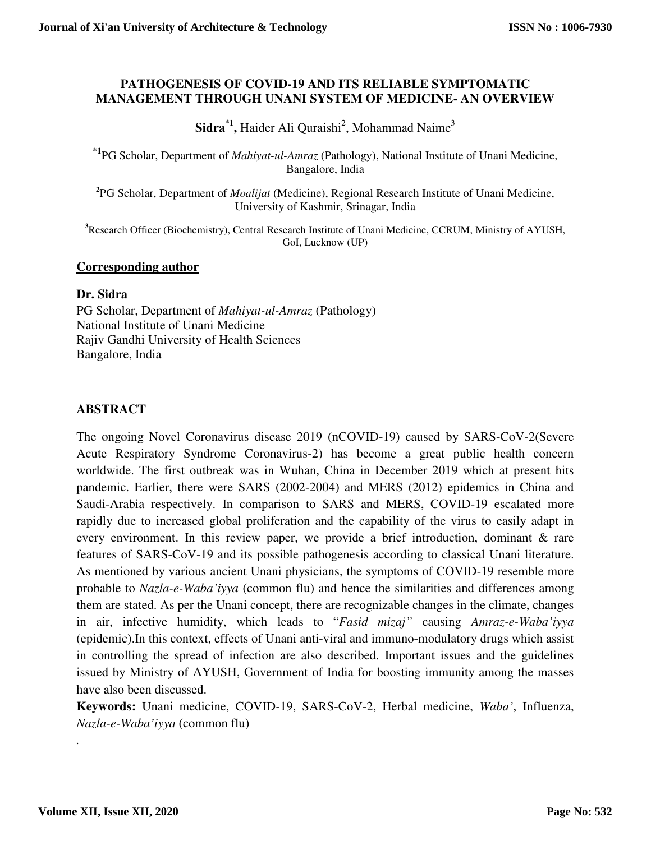#### **PATHOGENESIS OF COVID-19 AND ITS RELIABLE SYMPTOMATIC MANAGEMENT THROUGH UNANI SYSTEM OF MEDICINE- AN OVERVIEW**

 $\mathbf{Sidra}^{*1}$ , Haider Ali Quraishi<sup>2</sup>, Mohammad Naime<sup>3</sup>

**\*1**PG Scholar, Department of *Mahiyat-ul-Amraz* (Pathology), National Institute of Unani Medicine, Bangalore, India

**2** PG Scholar, Department of *Moalijat* (Medicine), Regional Research Institute of Unani Medicine, University of Kashmir, Srinagar, India

**<sup>3</sup>**Research Officer (Biochemistry), Central Research Institute of Unani Medicine, CCRUM, Ministry of AYUSH, GoI, Lucknow (UP)

### **Corresponding author**

#### **Dr. Sidra**

PG Scholar, Department of *Mahiyat-ul-Amraz* (Pathology) National Institute of Unani Medicine Rajiv Gandhi University of Health Sciences Bangalore, India

## **ABSTRACT**

The ongoing Novel Coronavirus disease 2019 (nCOVID-19) caused by SARS-CoV-2(Severe Acute Respiratory Syndrome Coronavirus-2) has become a great public health concern worldwide. The first outbreak was in Wuhan, China in December 2019 which at present hits pandemic. Earlier, there were SARS (2002-2004) and MERS (2012) epidemics in China and Saudi-Arabia respectively. In comparison to SARS and MERS, COVID-19 escalated more rapidly due to increased global proliferation and the capability of the virus to easily adapt in every environment. In this review paper, we provide a brief introduction, dominant & rare features of SARS-CoV-19 and its possible pathogenesis according to classical Unani literature. As mentioned by various ancient Unani physicians, the symptoms of COVID-19 resemble more probable to *Nazla-e-Waba'iyya* (common flu) and hence the similarities and differences among them are stated. As per the Unani concept, there are recognizable changes in the climate, changes in air, infective humidity, which leads to "*Fasid mizaj"* causing *Amraz-e-Waba'iyya* (epidemic).In this context, effects of Unani anti-viral and immuno-modulatory drugs which assist in controlling the spread of infection are also described. Important issues and the guidelines issued by Ministry of AYUSH, Government of India for boosting immunity among the masses have also been discussed.

**Keywords:** Unani medicine, COVID-19, SARS-CoV-2, Herbal medicine, *Waba'*, Influenza, *Nazla-e-Waba'iyya* (common flu)

*.*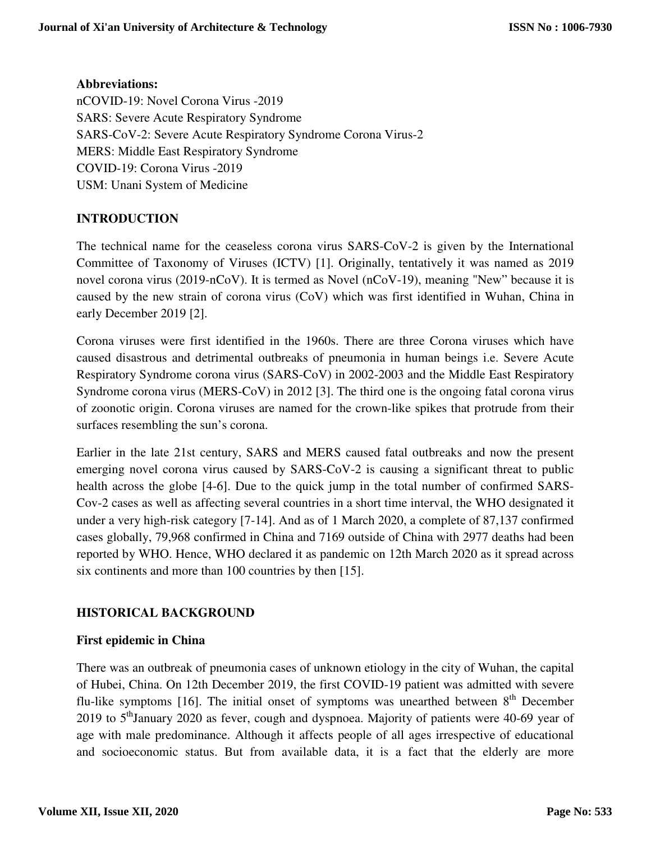**Abbreviations:**  nCOVID-19: Novel Corona Virus -2019 SARS: Severe Acute Respiratory Syndrome SARS-CoV-2: Severe Acute Respiratory Syndrome Corona Virus-2 MERS: Middle East Respiratory Syndrome COVID-19: Corona Virus -2019 USM: Unani System of Medicine

## **INTRODUCTION**

The technical name for the ceaseless corona virus SARS-CoV-2 is given by the International Committee of Taxonomy of Viruses (ICTV) [1]. Originally, tentatively it was named as 2019 novel corona virus (2019-nCoV). It is termed as Novel (nCoV-19), meaning "New" because it is caused by the new strain of corona virus (CoV) which was first identified in Wuhan, China in early December 2019 [2].

Corona viruses were first identified in the 1960s. There are three Corona viruses which have caused disastrous and detrimental outbreaks of pneumonia in human beings i.e. Severe Acute Respiratory Syndrome corona virus (SARS-CoV) in 2002-2003 and the Middle East Respiratory Syndrome corona virus (MERS-CoV) in 2012 [3]. The third one is the ongoing fatal corona virus of zoonotic origin. Corona viruses are named for the crown-like spikes that protrude from their surfaces resembling the sun's corona.

Earlier in the late 21st century, SARS and MERS caused fatal outbreaks and now the present emerging novel corona virus caused by SARS-CoV-2 is causing a significant threat to public health across the globe [4-6]. Due to the quick jump in the total number of confirmed SARS-Cov-2 cases as well as affecting several countries in a short time interval, the WHO designated it under a very high-risk category [7-14]. And as of 1 March 2020, a complete of 87,137 confirmed cases globally, 79,968 confirmed in China and 7169 outside of China with 2977 deaths had been reported by WHO. Hence, WHO declared it as pandemic on 12th March 2020 as it spread across six continents and more than 100 countries by then [15].

## **HISTORICAL BACKGROUND**

## **First epidemic in China**

There was an outbreak of pneumonia cases of unknown etiology in the city of Wuhan, the capital of Hubei, China. On 12th December 2019, the first COVID-19 patient was admitted with severe flu-like symptoms [16]. The initial onset of symptoms was unearthed between  $8<sup>th</sup>$  December 2019 to  $5<sup>th</sup>$  January 2020 as fever, cough and dyspnoea. Majority of patients were 40-69 year of age with male predominance. Although it affects people of all ages irrespective of educational and socioeconomic status. But from available data, it is a fact that the elderly are more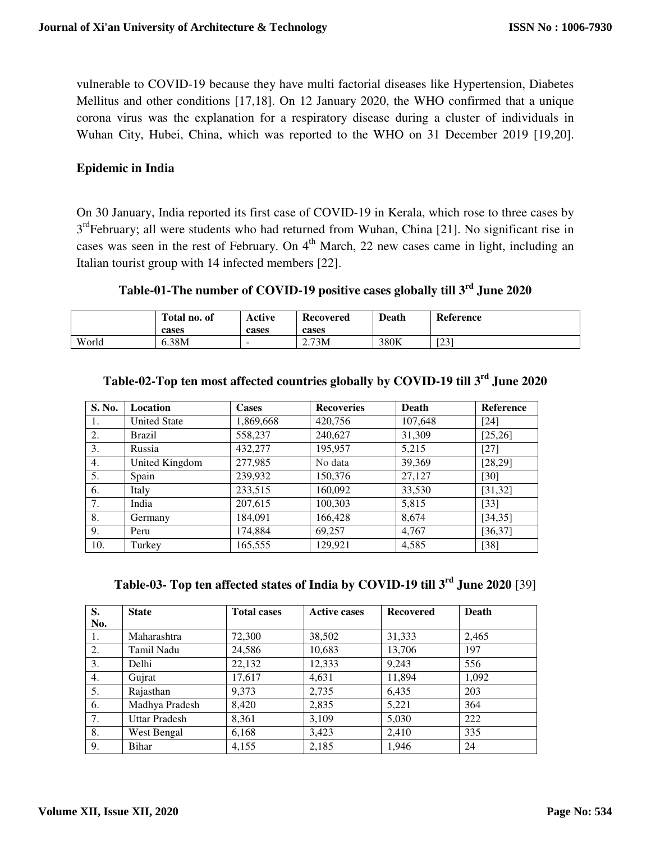vulnerable to COVID-19 because they have multi factorial diseases like Hypertension, Diabetes Mellitus and other conditions [17,18]. On 12 January 2020, the WHO confirmed that a unique corona virus was the explanation for a respiratory disease during a cluster of individuals in Wuhan City, Hubei, China, which was reported to the WHO on 31 December 2019 [19,20].

#### **Epidemic in India**

On 30 January, India reported its first case of COVID-19 in Kerala, which rose to three cases by 3<sup>rd</sup>February; all were students who had returned from Wuhan, China [21]. No significant rise in cases was seen in the rest of February. On 4<sup>th</sup> March, 22 new cases came in light, including an Italian tourist group with 14 infected members [22].

# **Table-01-The number of COVID-19 positive cases globally till 3rd June 2020**

|       | Total no. of<br>cases | Active<br>cases | <b>Recovered</b><br>cases | Death | Reference  |
|-------|-----------------------|-----------------|---------------------------|-------|------------|
| World | 6.38M                 | -               | 2.73M                     | 380K  | root<br>رے |

| S. No. | Location            | <b>Cases</b> | <b>Recoveries</b> | <b>Death</b> | Reference |
|--------|---------------------|--------------|-------------------|--------------|-----------|
| Ι.     | <b>United State</b> | 1,869,668    | 420,756           | 107,648      | $[24]$    |
| 2.     | Brazil              | 558,237      | 240,627           | 31,309       | [25, 26]  |
| 3.     | Russia              | 432,277      | 195,957           | 5,215        | $[27]$    |
| 4.     | United Kingdom      | 277,985      | No data           | 39,369       | [28, 29]  |
| 5.     | Spain               | 239,932      | 150,376           | 27,127       | $[30]$    |
| 6.     | Italy               | 233,515      | 160,092           | 33,530       | [31, 32]  |
| 7.     | India               | 207,615      | 100,303           | 5,815        | $[33]$    |
| 8.     | Germany             | 184,091      | 166,428           | 8,674        | [34, 35]  |
| 9.     | Peru                | 174,884      | 69,257            | 4,767        | [36, 37]  |
| 10.    | Turkey              | 165,555      | 129,921           | 4,585        | $[38]$    |

# **Table-02-Top ten most affected countries globally by COVID-19 till 3rd June 2020**

**Table-03- Top ten affected states of India by COVID-19 till 3rd June 2020** [39]

| S.  | <b>State</b>   | <b>Total cases</b> | <b>Active cases</b> | <b>Recovered</b> | Death |
|-----|----------------|--------------------|---------------------|------------------|-------|
| No. |                |                    |                     |                  |       |
| 1.  | Maharashtra    | 72,300             | 38,502              | 31,333           | 2,465 |
| 2.  | Tamil Nadu     | 24,586             | 10,683              | 13,706           | 197   |
| 3.  | Delhi          | 22,132             | 12,333              | 9,243            | 556   |
| 4.  | Gujrat         | 17,617             | 4,631               | 11,894           | 1.092 |
| 5.  | Rajasthan      | 9,373              | 2,735               | 6,435            | 203   |
| 6.  | Madhya Pradesh | 8.420              | 2,835               | 5.221            | 364   |
| 7.  | Uttar Pradesh  | 8,361              | 3,109               | 5,030            | 222   |
| 8.  | West Bengal    | 6,168              | 3,423               | 2,410            | 335   |
| 9.  | Bihar          | 4,155              | 2,185               | 1,946            | 24    |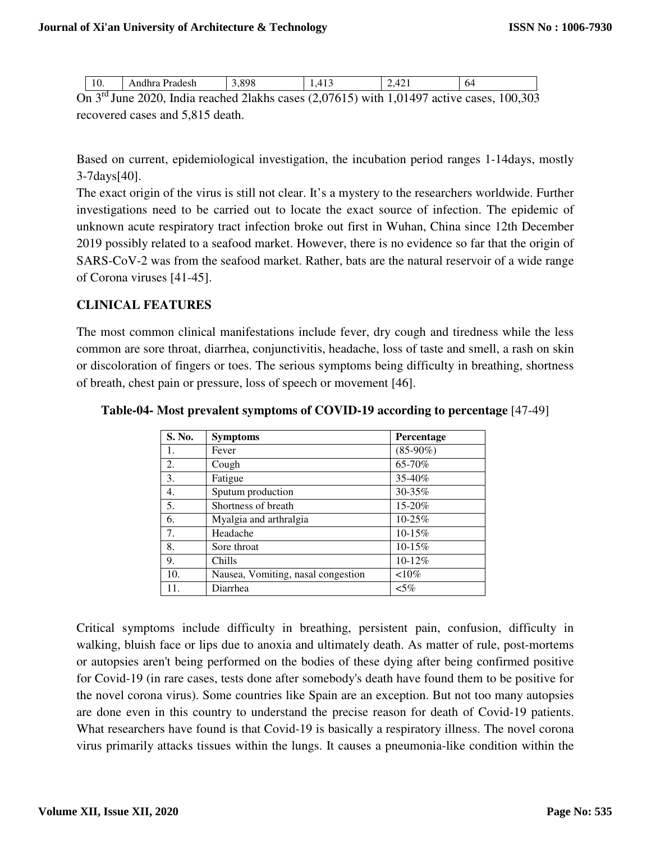| 10. | Andhra Pradesh                                                                                 | 3.898 | 1.413 | 2.421 | 64 |
|-----|------------------------------------------------------------------------------------------------|-------|-------|-------|----|
|     | On $3^{rd}$ June 2020, India reached 21akhs cases (2,07615) with 1,01497 active cases, 100,303 |       |       |       |    |

recovered cases and 5,815 death.

Based on current, epidemiological investigation, the incubation period ranges 1-14days, mostly 3-7days[40].

The exact origin of the virus is still not clear. It's a mystery to the researchers worldwide. Further investigations need to be carried out to locate the exact source of infection. The epidemic of unknown acute respiratory tract infection broke out first in Wuhan, China since 12th December 2019 possibly related to a seafood market. However, there is no evidence so far that the origin of SARS-CoV-2 was from the seafood market. Rather, bats are the natural reservoir of a wide range of Corona viruses [41-45].

### **CLINICAL FEATURES**

The most common clinical manifestations include fever, dry cough and tiredness while the less common are sore throat, diarrhea, conjunctivitis, headache, loss of taste and smell, a rash on skin or discoloration of fingers or toes. The serious symptoms being difficulty in breathing, shortness of breath, chest pain or pressure, loss of speech or movement [46].

| S. No. | <b>Symptoms</b>                    | Percentage  |
|--------|------------------------------------|-------------|
| 1.     | Fever                              | $(85-90\%)$ |
| 2.     | Cough                              | 65-70%      |
| 3.     | Fatigue                            | 35-40%      |
| 4.     | Sputum production                  | 30-35%      |
| 5.     | Shortness of breath                | 15-20%      |
| 6.     | Myalgia and arthralgia             | $10 - 25%$  |
| 7.     | Headache                           | $10-15%$    |
| 8.     | Sore throat                        | $10-15%$    |
| 9.     | Chills                             | $10-12%$    |
| 10.    | Nausea, Vomiting, nasal congestion | ${<}10\%$   |
| 11.    | Diarrhea                           | $< 5\%$     |

**Table-04- Most prevalent symptoms of COVID-19 according to percentage** [47-49]

Critical symptoms include difficulty in breathing, persistent pain, confusion, difficulty in walking, bluish face or lips due to anoxia and ultimately death. As matter of rule, post-mortems or autopsies aren't being performed on the bodies of these dying after being confirmed positive for Covid-19 (in rare cases, tests done after somebody's death have found them to be positive for the novel corona virus). Some countries like Spain are an exception. But not too many autopsies are done even in this country to understand the precise reason for death of Covid-19 patients. What researchers have found is that Covid-19 is basically a respiratory illness. The novel corona virus primarily attacks tissues within the lungs. It causes a pneumonia-like condition within the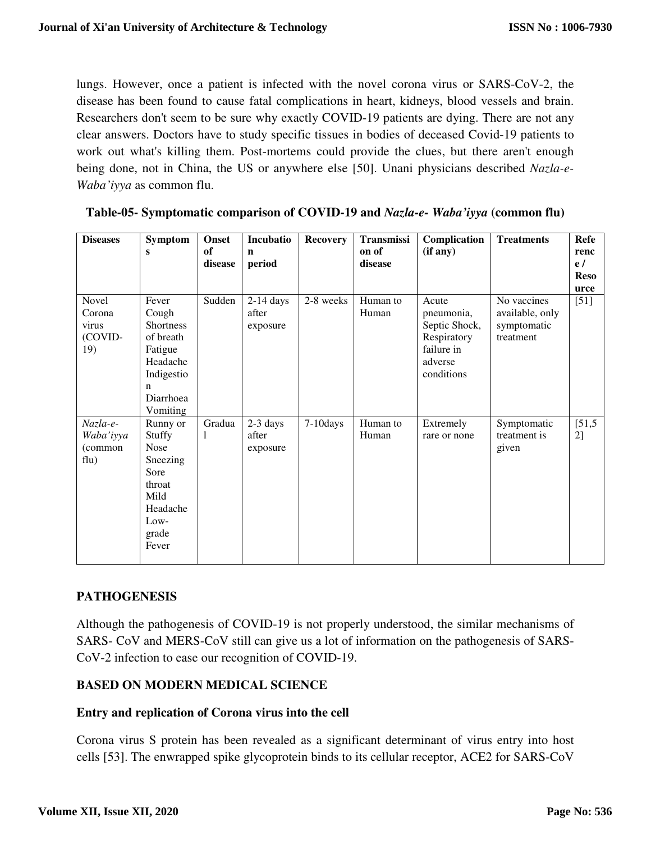lungs. However, once a patient is infected with the novel corona virus or SARS-CoV-2, the disease has been found to cause fatal complications in heart, kidneys, blood vessels and brain. Researchers don't seem to be sure why exactly COVID-19 patients are dying. There are not any clear answers. Doctors have to study specific tissues in bodies of deceased Covid-19 patients to work out what's killing them. Post-mortems could provide the clues, but there aren't enough being done, not in China, the US or anywhere else [50]. Unani physicians described *Nazla-e-Waba'iyya* as common flu.

| <b>Diseases</b>                            | Symptom<br>S                                                                                                       | <b>Onset</b><br>of<br>disease | <b>Incubatio</b><br>$\mathbf n$<br>period | <b>Recovery</b> | Transmissi<br>on of<br>disease | Complication<br>(if any)                                                                   | <b>Treatments</b>                                          | Refe<br>renc<br>e/<br><b>Reso</b><br>urce |
|--------------------------------------------|--------------------------------------------------------------------------------------------------------------------|-------------------------------|-------------------------------------------|-----------------|--------------------------------|--------------------------------------------------------------------------------------------|------------------------------------------------------------|-------------------------------------------|
| Novel<br>Corona<br>virus<br>(COVID-<br>19) | Fever<br>Cough<br><b>Shortness</b><br>of breath<br>Fatigue<br>Headache<br>Indigestio<br>n<br>Diarrhoea<br>Vomiting | Sudden                        | $2-14$ days<br>after<br>exposure          | 2-8 weeks       | Human to<br>Human              | Acute<br>pneumonia,<br>Septic Shock,<br>Respiratory<br>failure in<br>adverse<br>conditions | No vaccines<br>available, only<br>symptomatic<br>treatment | $[51]$                                    |
| Nazla-e-<br>Waba'iyya<br>(common<br>flu)   | Runny or<br>Stuffy<br>Nose<br>Sneezing<br>Sore<br>throat<br>Mild<br>Headache<br>Low-<br>grade<br>Fever             | Gradua<br>1                   | 2-3 days<br>after<br>exposure             | $7-10$ days     | Human to<br>Human              | Extremely<br>rare or none                                                                  | Symptomatic<br>treatment is<br>given                       | [51,5]<br>2]                              |

**Table-05- Symptomatic comparison of COVID-19 and** *Nazla-e- Waba'iyya* **(common flu)** 

## **PATHOGENESIS**

Although the pathogenesis of COVID-19 is not properly understood, the similar mechanisms of SARS- CoV and MERS-CoV still can give us a lot of information on the pathogenesis of SARS-CoV-2 infection to ease our recognition of COVID-19.

## **BASED ON MODERN MEDICAL SCIENCE**

## **Entry and replication of Corona virus into the cell**

Corona virus S protein has been revealed as a significant determinant of virus entry into host cells [53]. The enwrapped spike glycoprotein binds to its cellular receptor, ACE2 for SARS-CoV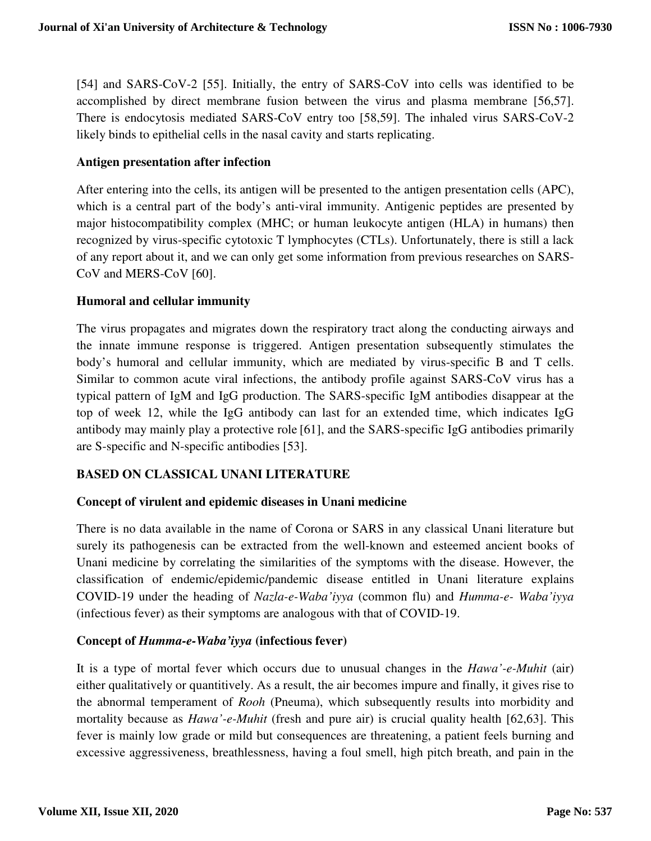[54] and SARS-CoV-2 [55]. Initially, the entry of SARS-CoV into cells was identified to be accomplished by direct membrane fusion between the virus and plasma membrane [56,57]. There is endocytosis mediated SARS-CoV entry too [58,59]. The inhaled virus SARS-CoV-2 likely binds to epithelial cells in the nasal cavity and starts replicating.

#### **Antigen presentation after infection**

After entering into the cells, its antigen will be presented to the antigen presentation cells (APC), which is a central part of the body's anti-viral immunity. Antigenic peptides are presented by major histocompatibility complex (MHC; or human leukocyte antigen (HLA) in humans) then recognized by virus-specific cytotoxic T lymphocytes (CTLs). Unfortunately, there is still a lack of any report about it, and we can only get some information from previous researches on SARS-CoV and MERS-CoV [60].

### **Humoral and cellular immunity**

The virus propagates and migrates down the respiratory tract along the conducting airways and the innate immune response is triggered. Antigen presentation subsequently stimulates the body's humoral and cellular immunity, which are mediated by virus-specific B and T cells. Similar to common acute viral infections, the antibody profile against SARS-CoV virus has a typical pattern of IgM and IgG production. The SARS-specific IgM antibodies disappear at the top of week 12, while the IgG antibody can last for an extended time, which indicates IgG antibody may mainly play a protective role [61], and the SARS-specific IgG antibodies primarily are S-specific and N-specific antibodies [53].

## **BASED ON CLASSICAL UNANI LITERATURE**

#### **Concept of virulent and epidemic diseases in Unani medicine**

There is no data available in the name of Corona or SARS in any classical Unani literature but surely its pathogenesis can be extracted from the well-known and esteemed ancient books of Unani medicine by correlating the similarities of the symptoms with the disease. However, the classification of endemic/epidemic/pandemic disease entitled in Unani literature explains COVID-19 under the heading of *Nazla-e-Waba'iyya* (common flu) and *Humma-e- Waba'iyya*  (infectious fever) as their symptoms are analogous with that of COVID-19.

#### **Concept of** *Humma-e-Waba'iyya* **(infectious fever)**

It is a type of mortal fever which occurs due to unusual changes in the *Hawa'-e-Muhit* (air) either qualitatively or quantitively. As a result, the air becomes impure and finally, it gives rise to the abnormal temperament of *Rooh* (Pneuma), which subsequently results into morbidity and mortality because as *Hawa'-e-Muhit* (fresh and pure air) is crucial quality health [62,63]. This fever is mainly low grade or mild but consequences are threatening, a patient feels burning and excessive aggressiveness, breathlessness, having a foul smell, high pitch breath, and pain in the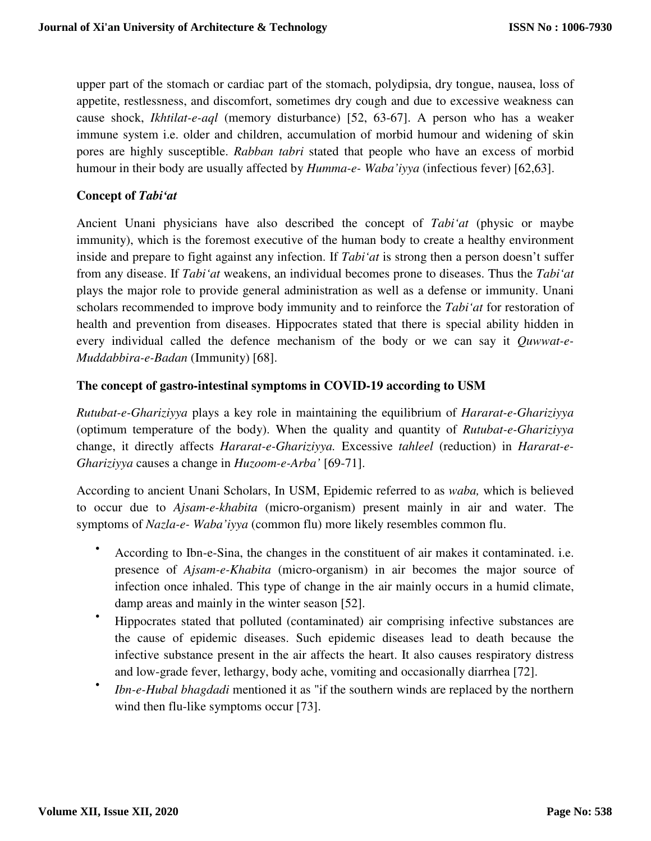upper part of the stomach or cardiac part of the stomach, polydipsia, dry tongue, nausea, loss of appetite, restlessness, and discomfort, sometimes dry cough and due to excessive weakness can cause shock, *Ikhtilat-e-aql* (memory disturbance) [52, 63-67]. A person who has a weaker immune system i.e. older and children, accumulation of morbid humour and widening of skin pores are highly susceptible. *Rabban tabri* stated that people who have an excess of morbid humour in their body are usually affected by *Humma-e- Waba'iyya* (infectious fever) [62,63].

### **Concept of** *Tabi'at*

Ancient Unani physicians have also described the concept of *Tabi'at* (physic or maybe immunity), which is the foremost executive of the human body to create a healthy environment inside and prepare to fight against any infection. If *Tabi'at* is strong then a person doesn't suffer from any disease. If *Tabi'at* weakens, an individual becomes prone to diseases. Thus the *Tabi'at* plays the major role to provide general administration as well as a defense or immunity. Unani scholars recommended to improve body immunity and to reinforce the *Tabi'at* for restoration of health and prevention from diseases. Hippocrates stated that there is special ability hidden in every individual called the defence mechanism of the body or we can say it *Quwwat-e-Muddabbira-e-Badan* (Immunity) [68].

### **The concept of gastro-intestinal symptoms in COVID-19 according to USM**

*Rutubat-e-Ghariziyya* plays a key role in maintaining the equilibrium of *Hararat-e-Ghariziyya*  (optimum temperature of the body). When the quality and quantity of *Rutubat-e-Ghariziyya* change, it directly affects *Hararat-e-Ghariziyya.* Excessive *tahleel* (reduction) in *Hararat-e-Ghariziyya* causes a change in *Huzoom-e-Arba'* [69-71].

According to ancient Unani Scholars, In USM, Epidemic referred to as *waba,* which is believed to occur due to *Ajsam-e-khabita* (micro-organism) present mainly in air and water. The symptoms of *Nazla-e- Waba'iyya* (common flu) more likely resembles common flu.

- According to Ibn-e-Sina, the changes in the constituent of air makes it contaminated. i.e. presence of *Ajsam-e-Khabita* (micro-organism) in air becomes the major source of infection once inhaled. This type of change in the air mainly occurs in a humid climate, damp areas and mainly in the winter season [52].
- Hippocrates stated that polluted (contaminated) air comprising infective substances are the cause of epidemic diseases. Such epidemic diseases lead to death because the infective substance present in the air affects the heart. It also causes respiratory distress and low-grade fever, lethargy, body ache, vomiting and occasionally diarrhea [72].
- *Ibn-e-Hubal bhagdadi* mentioned it as "if the southern winds are replaced by the northern wind then flu-like symptoms occur [73].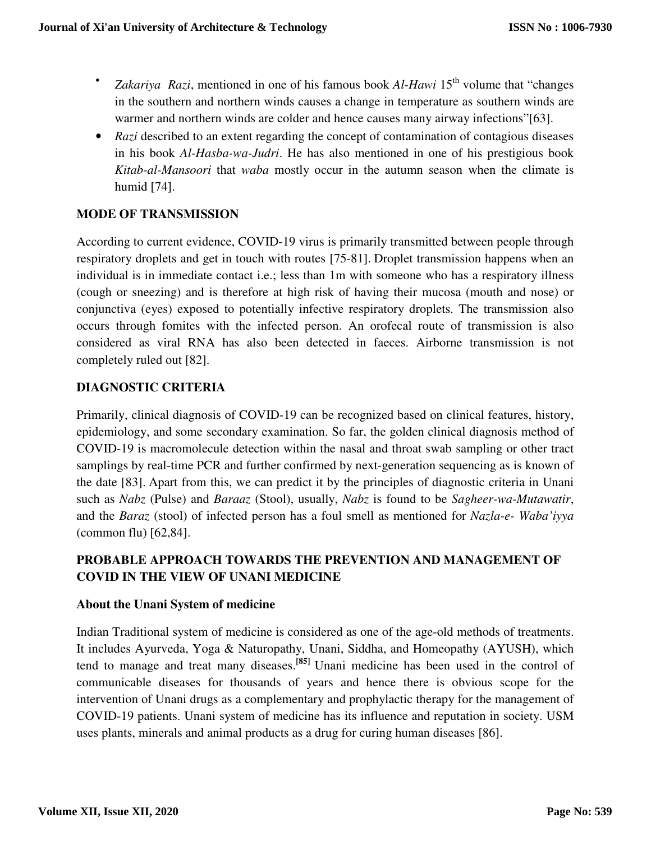- *Zakariya Razi*, mentioned in one of his famous book *Al-Hawi* 15<sup>th</sup> volume that "changes" in the southern and northern winds causes a change in temperature as southern winds are warmer and northern winds are colder and hence causes many airway infections"[63].
- *Razi* described to an extent regarding the concept of contamination of contagious diseases in his book *Al-Hasba-wa-Judri*. He has also mentioned in one of his prestigious book *Kitab-al-Mansoori* that *waba* mostly occur in the autumn season when the climate is humid [74].

## **MODE OF TRANSMISSION**

According to current evidence, COVID-19 virus is primarily transmitted between people through respiratory droplets and get in touch with routes [75-81]. Droplet transmission happens when an individual is in immediate contact i.e.; less than 1m with someone who has a respiratory illness (cough or sneezing) and is therefore at high risk of having their mucosa (mouth and nose) or conjunctiva (eyes) exposed to potentially infective respiratory droplets. The transmission also occurs through fomites with the infected person. An orofecal route of transmission is also considered as viral RNA has also been detected in faeces. Airborne transmission is not completely ruled out [82].

### **DIAGNOSTIC CRITERIA**

Primarily, clinical diagnosis of COVID-19 can be recognized based on clinical features, history, epidemiology, and some secondary examination. So far, the golden clinical diagnosis method of COVID-19 is macromolecule detection within the nasal and throat swab sampling or other tract samplings by real-time PCR and further confirmed by next-generation sequencing as is known of the date [83]. Apart from this, we can predict it by the principles of diagnostic criteria in Unani such as *Nabz* (Pulse) and *Baraaz* (Stool), usually, *Nabz* is found to be *Sagheer-wa-Mutawatir*, and the *Baraz* (stool) of infected person has a foul smell as mentioned for *Nazla-e- Waba'iyya*  (common flu) [62,84].

## **PROBABLE APPROACH TOWARDS THE PREVENTION AND MANAGEMENT OF COVID IN THE VIEW OF UNANI MEDICINE**

#### **About the Unani System of medicine**

Indian Traditional system of medicine is considered as one of the age-old methods of treatments. It includes Ayurveda, Yoga & Naturopathy, Unani, Siddha, and Homeopathy (AYUSH), which tend to manage and treat many diseases.**[85]** Unani medicine has been used in the control of communicable diseases for thousands of years and hence there is obvious scope for the intervention of Unani drugs as a complementary and prophylactic therapy for the management of COVID-19 patients. Unani system of medicine has its influence and reputation in society. USM uses plants, minerals and animal products as a drug for curing human diseases [86].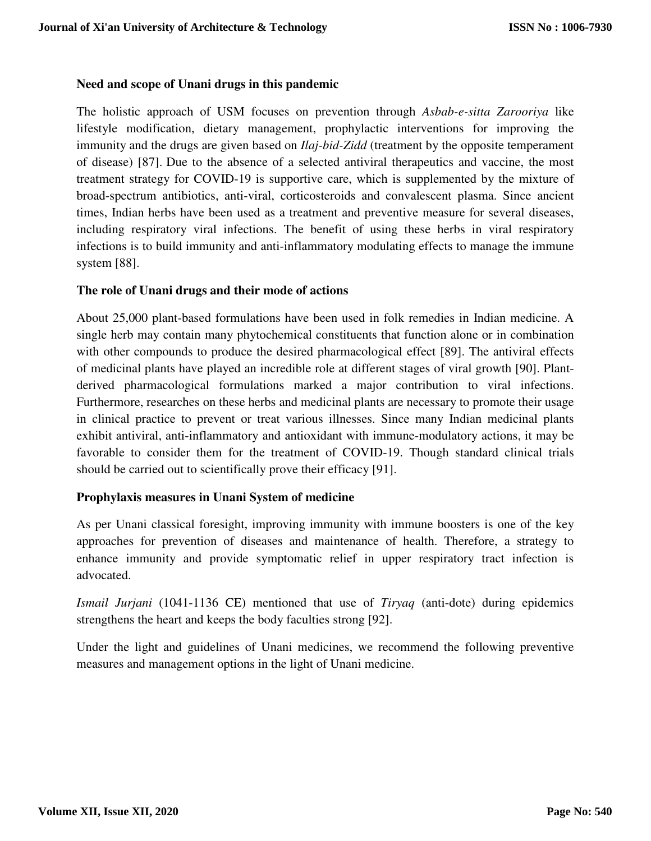### **Need and scope of Unani drugs in this pandemic**

The holistic approach of USM focuses on prevention through *Asbab-e-sitta Zarooriya* like lifestyle modification, dietary management, prophylactic interventions for improving the immunity and the drugs are given based on *Ilaj-bid-Zidd* (treatment by the opposite temperament of disease) [87]. Due to the absence of a selected antiviral therapeutics and vaccine, the most treatment strategy for COVID-19 is supportive care, which is supplemented by the mixture of broad-spectrum antibiotics, anti-viral, corticosteroids and convalescent plasma. Since ancient times, Indian herbs have been used as a treatment and preventive measure for several diseases, including respiratory viral infections. The benefit of using these herbs in viral respiratory infections is to build immunity and anti-inflammatory modulating effects to manage the immune system [88].

#### **The role of Unani drugs and their mode of actions**

About 25,000 plant-based formulations have been used in folk remedies in Indian medicine. A single herb may contain many phytochemical constituents that function alone or in combination with other compounds to produce the desired pharmacological effect [89]. The antiviral effects of medicinal plants have played an incredible role at different stages of viral growth [90]. Plantderived pharmacological formulations marked a major contribution to viral infections. Furthermore, researches on these herbs and medicinal plants are necessary to promote their usage in clinical practice to prevent or treat various illnesses. Since many Indian medicinal plants exhibit antiviral, anti-inflammatory and antioxidant with immune-modulatory actions, it may be favorable to consider them for the treatment of COVID-19. Though standard clinical trials should be carried out to scientifically prove their efficacy [91].

#### **Prophylaxis measures in Unani System of medicine**

As per Unani classical foresight, improving immunity with immune boosters is one of the key approaches for prevention of diseases and maintenance of health. Therefore, a strategy to enhance immunity and provide symptomatic relief in upper respiratory tract infection is advocated.

*Ismail Jurjani* (1041-1136 CE) mentioned that use of *Tiryaq* (anti-dote) during epidemics strengthens the heart and keeps the body faculties strong [92].

Under the light and guidelines of Unani medicines, we recommend the following preventive measures and management options in the light of Unani medicine.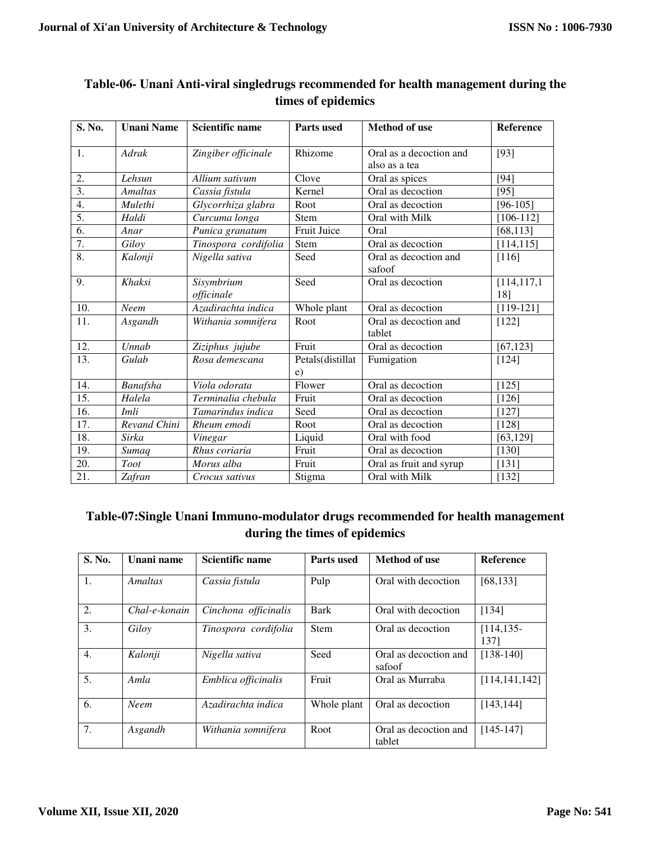$\mathbf{r}$ 

| S. No.           | <b>Unani Name</b> | Scientific name      | <b>Parts used</b> | <b>Method of use</b>    | Reference     |
|------------------|-------------------|----------------------|-------------------|-------------------------|---------------|
| 1.               | Adrak             | Zingiber officinale  | Rhizome           | Oral as a decoction and | $[93]$        |
|                  |                   |                      |                   | also as a tea           |               |
| 2.               | Lehsun            | Allium sativum       | Clove             | Oral as spices          | [94]          |
| $\overline{3}$ . | <b>Amaltas</b>    | Cassia fistula       | Kernel            | Oral as decoction       | [95]          |
| 4.               | Mulethi           | Glycorrhiza glabra   | Root              | Oral as decoction       | $[96-105]$    |
| 5.               | Haldi             | Curcuma longa        | Stem              | Oral with Milk          | $[106-112]$   |
| 6.               | Anar              | Punica granatum      | Fruit Juice       | Oral                    | [68, 113]     |
| 7.               | Giloy             | Tinospora cordifolia | Stem              | Oral as decoction       | [114, 115]    |
| 8.               | Kalonji           | Nigella sativa       | Seed              | Oral as decoction and   | [116]         |
|                  |                   |                      |                   | safoof                  |               |
| 9.               | Khaksi            | Sisymbrium           | Seed              | Oral as decoction       | [114, 117, 1] |
|                  |                   | officinale           |                   |                         | 18]           |
| 10.              | Neem              | Azadirachta indica   | Whole plant       | Oral as decoction       | $[119-121]$   |
| 11.              | Asgandh           | Withania somnifera   | Root              | Oral as decoction and   | [122]         |
|                  |                   |                      |                   | tablet                  |               |
| 12.              | Unnab             | Ziziphus jujube      | Fruit             | Oral as decoction       | [67, 123]     |
| 13.              | Gulab             | Rosa demescana       | Petals(distillat  | Fumigation              | [124]         |
|                  |                   |                      | e)                |                         |               |
| 14.              | Banafsha          | Viola odorata        | Flower            | Oral as decoction       | $[125]$       |
| 15.              | Halela            | Terminalia chebula   | Fruit             | Oral as decoction       | $[126]$       |
| 16.              | Imli              | Tamarindus indica    | Seed              | Oral as decoction       | $[127]$       |
| 17.              | Revand Chini      | Rheum emodi          | Root              | Oral as decoction       | [128]         |
| 18.              | Sirka             | Vinegar              | Liquid            | Oral with food          | [63, 129]     |
| 19.              | Sumaq             | Rhus coriaria        | Fruit             | Oral as decoction       | [130]         |
| 20.              | <b>Toot</b>       | Morus alba           | Fruit             | Oral as fruit and syrup | [131]         |
| 21.              | Zafran            | Crocus sativus       | Stigma            | Oral with Milk          | [132]         |

## **Table-06- Unani Anti-viral singledrugs recommended for health management during the times of epidemics**

# **Table-07:Single Unani Immuno-modulator drugs recommended for health management during the times of epidemics**

| S. No.           | Unani name    | Scientific name      | <b>Parts used</b> | Method of use                   | <b>Reference</b>     |
|------------------|---------------|----------------------|-------------------|---------------------------------|----------------------|
| 1.               | Amaltas       | Cassia fistula       | Pulp              | Oral with decoction             | [68, 133]            |
| 2.               | Chal-e-konain | Cinchona officinalis | Bark              | Oral with decoction             | [134]                |
| 3.               | Gilov         | Tinospora cordifolia | <b>Stem</b>       | Oral as decoction               | $[114, 135-$<br>1371 |
| $\overline{4}$ . | Kalonji       | Nigella sativa       | Seed              | Oral as decoction and<br>safoof | $[138-140]$          |
| 5.               | Amla          | Emblica officinalis  | Fruit             | Oral as Murraba                 | [114, 141, 142]      |
| 6.               | <b>Neem</b>   | Azadirachta indica   | Whole plant       | Oral as decoction               | [143, 144]           |
| 7.               | Asgandh       | Withania somnifera   | Root              | Oral as decoction and<br>tablet | $[145-147]$          |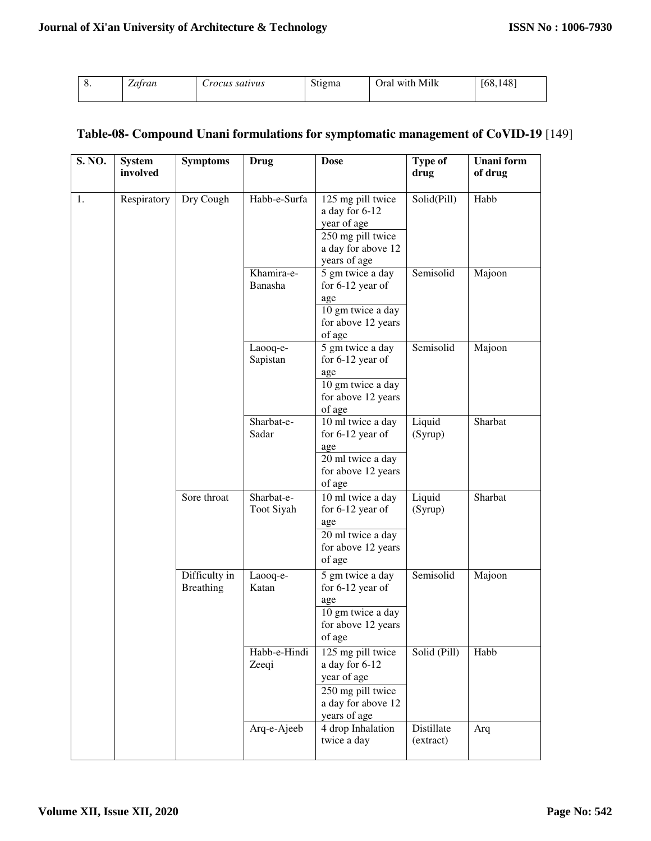| v. | –<br>Zatran | rocus satıvus | Stigma | Oral with Milk | 1481<br>168,1 |
|----|-------------|---------------|--------|----------------|---------------|
|    |             |               |        |                |               |

## **Table-08- Compound Unani formulations for symptomatic management of CoVID-19** [149]

| S. NO. | <b>System</b><br>involved | <b>Symptoms</b>                   | Drug                     | <b>Dose</b>                                                                                                   | Type of<br>drug         | <b>Unani</b> form<br>of drug |
|--------|---------------------------|-----------------------------------|--------------------------|---------------------------------------------------------------------------------------------------------------|-------------------------|------------------------------|
| 1.     | Respiratory               | Dry Cough                         | Habb-e-Surfa             | 125 mg pill twice<br>a day for 6-12<br>year of age<br>250 mg pill twice<br>a day for above 12<br>years of age | Solid(Pill)             | Habb                         |
|        |                           |                                   | Khamira-e-<br>Banasha    | 5 gm twice a day<br>for $6-12$ year of<br>age<br>10 gm twice a day<br>for above 12 years<br>of age            | Semisolid               | Majoon                       |
|        |                           |                                   | Laooq-e-<br>Sapistan     | 5 gm twice a day<br>for $6-12$ year of<br>age<br>10 gm twice a day<br>for above 12 years<br>of age            | Semisolid               | Majoon                       |
|        |                           |                                   | Sharbat-e-<br>Sadar      | 10 ml twice a day<br>for $6-12$ year of<br>age<br>20 ml twice a day<br>for above 12 years<br>of age           | Liquid<br>(Syrup)       | Sharbat                      |
|        |                           | Sore throat                       | Sharbat-e-<br>Toot Siyah | 10 ml twice a day<br>for 6-12 year of<br>age<br>20 ml twice a day<br>for above 12 years<br>of age             | Liquid<br>(Syrup)       | Sharbat                      |
|        |                           | Difficulty in<br><b>Breathing</b> | Laooq-e-<br>Katan        | 5 gm twice a day<br>for $6-12$ year of<br>age<br>10 gm twice a day<br>for above 12 years<br>of age            | Semisolid               | Majoon                       |
|        |                           |                                   | Habb-e-Hindi<br>Zeeqi    | 125 mg pill twice<br>a day for 6-12<br>year of age<br>250 mg pill twice<br>a day for above 12<br>years of age | Solid (Pill)            | Habb                         |
|        |                           |                                   | Arq-e-Ajeeb              | 4 drop Inhalation<br>twice a day                                                                              | Distillate<br>(extract) | Arq                          |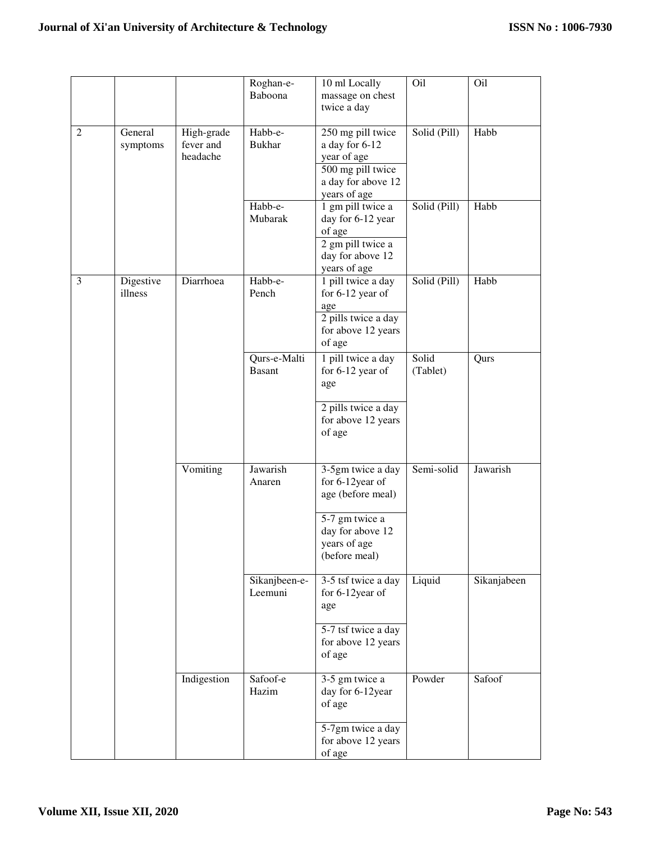|                |                      |                                     | Roghan-e-<br>Baboona          | 10 ml Locally<br>massage on chest<br>twice a day                                                                                 | Oil               | Oil         |
|----------------|----------------------|-------------------------------------|-------------------------------|----------------------------------------------------------------------------------------------------------------------------------|-------------------|-------------|
| $\overline{2}$ | General<br>symptoms  | High-grade<br>fever and<br>headache | Habb-e-<br><b>Bukhar</b>      | 250 mg pill twice<br>a day for 6-12<br>year of age<br>500 mg pill twice<br>a day for above 12<br>years of age                    | Solid (Pill)      | Habb        |
|                |                      |                                     | Habb-e-<br>Mubarak            | 1 gm pill twice a<br>day for 6-12 year<br>of age<br>2 gm pill twice a<br>day for above 12<br>years of age                        | Solid (Pill)      | Habb        |
| 3              | Digestive<br>illness | Diarrhoea                           | Habb-e-<br>Pench              | 1 pill twice a day<br>for 6-12 year of<br>age<br>2 pills twice a day<br>for above 12 years<br>of age                             | Solid (Pill)      | Habb        |
|                |                      |                                     | Qurs-e-Malti<br><b>Basant</b> | 1 pill twice a day<br>for $6-12$ year of<br>age<br>2 pills twice a day<br>for above 12 years<br>of age                           | Solid<br>(Tablet) | Qurs        |
|                |                      | Vomiting                            | Jawarish<br>Anaren            | 3-5gm twice a day<br>for 6-12year of<br>age (before meal)<br>5-7 gm twice a<br>day for above 12<br>years of age<br>(before meal) | Semi-solid        | Jawarish    |
|                |                      |                                     | Sikanjbeen-e-<br>Leemuni      | 3-5 tsf twice a day<br>for 6-12year of<br>age<br>5-7 tsf twice a day<br>for above 12 years<br>of age                             | Liquid            | Sikanjabeen |
|                |                      | Indigestion                         | Safoof-e<br>Hazim             | 3-5 gm twice a<br>day for 6-12year<br>of age<br>5-7gm twice a day<br>for above 12 years<br>of age                                | Powder            | Safoof      |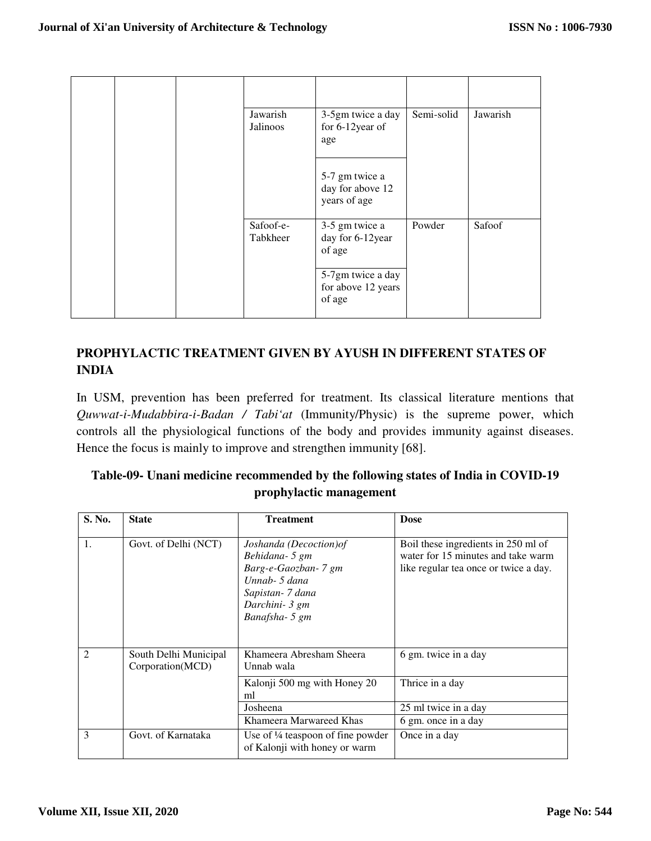|  | Jawarish<br>Jalinoos  | 3-5gm twice a day<br>for 6-12year of<br>age        | Semi-solid | Jawarish |
|--|-----------------------|----------------------------------------------------|------------|----------|
|  |                       | 5-7 gm twice a<br>day for above 12<br>years of age |            |          |
|  | Safoof-e-<br>Tabkheer | 3-5 gm twice a<br>day for 6-12year<br>of age       | Powder     | Safoof   |
|  |                       | 5-7gm twice a day<br>for above 12 years<br>of age  |            |          |

# **PROPHYLACTIC TREATMENT GIVEN BY AYUSH IN DIFFERENT STATES OF INDIA**

In USM, prevention has been preferred for treatment. Its classical literature mentions that *Quwwat-i-Mudabbira-i-Badan / Tabi'at* (Immunity/Physic) is the supreme power, which controls all the physiological functions of the body and provides immunity against diseases. Hence the focus is mainly to improve and strengthen immunity [68].

| S. No.         | <b>State</b>                              | <b>Treatment</b>                                                                                                                            | <b>Dose</b>                                                                                                        |
|----------------|-------------------------------------------|---------------------------------------------------------------------------------------------------------------------------------------------|--------------------------------------------------------------------------------------------------------------------|
| 1.             | Govt. of Delhi (NCT)                      | Joshanda (Decoction) of<br>Behidana- 5 gm<br>Barg-e-Gaozban- 7 gm<br>Unnab- $5$ dana<br>Sapistan- 7 dana<br>Darchini- 3 gm<br>Banafsha-5 gm | Boil these ingredients in 250 ml of<br>water for 15 minutes and take warm<br>like regular tea once or twice a day. |
| $\mathfrak{D}$ | South Delhi Municipal<br>Corporation(MCD) | Khameera Abresham Sheera<br>Unnab wala                                                                                                      | 6 gm. twice in a day                                                                                               |
|                |                                           | Kalonji 500 mg with Honey 20<br>ml                                                                                                          | Thrice in a day                                                                                                    |
|                |                                           | Josheena                                                                                                                                    | 25 ml twice in a day                                                                                               |
|                |                                           | Khameera Marwareed Khas                                                                                                                     | 6 gm. once in a day                                                                                                |
| 3              | Govt. of Karnataka                        | Use of $\frac{1}{4}$ teaspoon of fine powder<br>of Kalonji with honey or warm                                                               | Once in a day                                                                                                      |

## **Table-09- Unani medicine recommended by the following states of India in COVID-19 prophylactic management**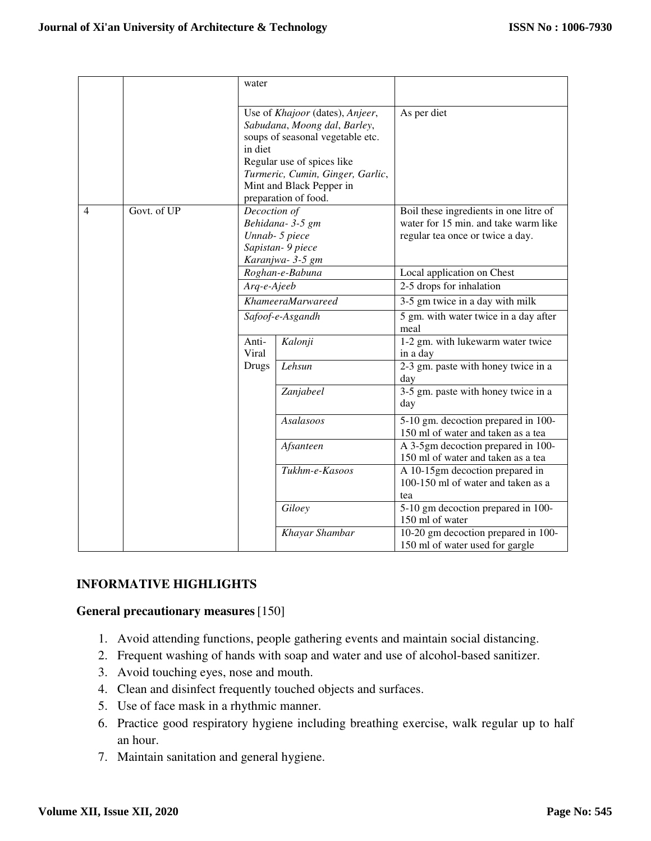|   |             | water                                             |                                  |                                                                           |
|---|-------------|---------------------------------------------------|----------------------------------|---------------------------------------------------------------------------|
|   |             |                                                   |                                  |                                                                           |
|   |             | Use of Khajoor (dates), Anjeer,                   |                                  | As per diet                                                               |
|   |             | Sabudana, Moong dal, Barley,                      |                                  |                                                                           |
|   |             | soups of seasonal vegetable etc.                  |                                  |                                                                           |
|   |             | in diet                                           |                                  |                                                                           |
|   |             |                                                   | Regular use of spices like       |                                                                           |
|   |             |                                                   | Turmeric, Cumin, Ginger, Garlic, |                                                                           |
|   |             |                                                   | Mint and Black Pepper in         |                                                                           |
|   |             | preparation of food.                              |                                  |                                                                           |
| 4 | Govt. of UP | Decoction of<br>Behidana- 3-5 gm                  |                                  | Boil these ingredients in one litre of                                    |
|   |             |                                                   |                                  | water for 15 min. and take warm like                                      |
|   |             | Unnab- 5 piece                                    |                                  | regular tea once or twice a day.                                          |
|   |             | Sapistan- 9 piece                                 |                                  |                                                                           |
|   |             | Karanjwa-3-5 gm<br>Roghan-e-Babuna<br>Arq-e-Ajeeb |                                  |                                                                           |
|   |             |                                                   |                                  | Local application on Chest                                                |
|   |             |                                                   |                                  | 2-5 drops for inhalation                                                  |
|   |             |                                                   | KhameeraMarwareed                | 3-5 gm twice in a day with milk                                           |
|   |             | Safoof-e-Asgandh                                  |                                  | 5 gm. with water twice in a day after<br>meal                             |
|   |             | Anti-                                             | Kalonji                          | 1-2 gm. with lukewarm water twice                                         |
|   |             | Viral                                             |                                  | in a day                                                                  |
|   |             | Drugs                                             | Lehsun                           | 2-3 gm. paste with honey twice in a<br>day                                |
|   |             |                                                   | Zanjabeel                        | 3-5 gm. paste with honey twice in a                                       |
|   |             |                                                   |                                  | day                                                                       |
|   |             |                                                   | Asalasoos                        | 5-10 gm. decoction prepared in 100-<br>150 ml of water and taken as a tea |
|   |             |                                                   | Afsanteen                        | A 3-5gm decoction prepared in 100-                                        |
|   |             |                                                   |                                  | 150 ml of water and taken as a tea                                        |
|   |             |                                                   | Tukhm-e-Kasoos                   | A 10-15gm decoction prepared in                                           |
|   |             |                                                   |                                  | 100-150 ml of water and taken as a                                        |
|   |             |                                                   |                                  | tea                                                                       |
|   |             |                                                   | Giloey                           | 5-10 gm decoction prepared in 100-                                        |
|   |             |                                                   |                                  | 150 ml of water                                                           |
|   |             |                                                   | Khayar Shambar                   | 10-20 gm decoction prepared in 100-                                       |
|   |             |                                                   |                                  | 150 ml of water used for gargle                                           |

## **INFORMATIVE HIGHLIGHTS**

#### **General precautionary measures**[150]

- 1. Avoid attending functions, people gathering events and maintain social distancing.
- 2. Frequent washing of hands with soap and water and use of alcohol-based sanitizer.
- 3. Avoid touching eyes, nose and mouth.
- 4. Clean and disinfect frequently touched objects and surfaces.
- 5. Use of face mask in a rhythmic manner.
- 6. Practice good respiratory hygiene including breathing exercise, walk regular up to half an hour.
- 7. Maintain sanitation and general hygiene.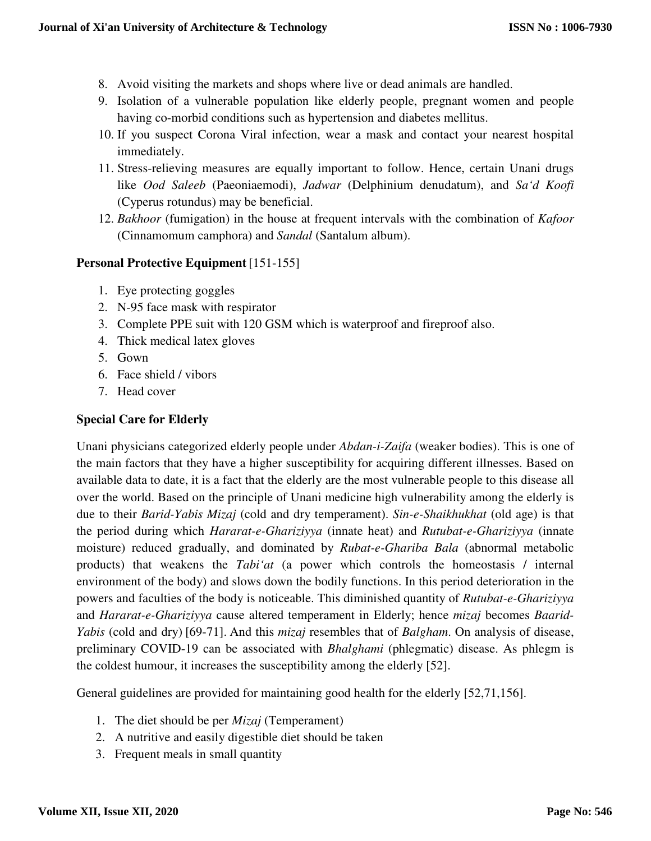- 8. Avoid visiting the markets and shops where live or dead animals are handled.
- 9. Isolation of a vulnerable population like elderly people, pregnant women and people having co-morbid conditions such as hypertension and diabetes mellitus.
- 10. If you suspect Corona Viral infection, wear a mask and contact your nearest hospital immediately.
- 11. Stress-relieving measures are equally important to follow. Hence, certain Unani drugs like *Ood Saleeb* (Paeoniaemodi), *Jadwar* (Delphinium denudatum), and *Sa'd Koofi* (Cyperus rotundus) may be beneficial.
- 12. *Bakhoor* (fumigation) in the house at frequent intervals with the combination of *Kafoor* (Cinnamomum camphora) and *Sandal* (Santalum album).

### **Personal Protective Equipment** [151-155]

- 1. Eye protecting goggles
- 2. N-95 face mask with respirator
- 3. Complete PPE suit with 120 GSM which is waterproof and fireproof also.
- 4. Thick medical latex gloves
- 5. Gown
- 6. Face shield / vibors
- 7. Head cover

### **Special Care for Elderly**

Unani physicians categorized elderly people under *Abdan-i-Zaifa* (weaker bodies). This is one of the main factors that they have a higher susceptibility for acquiring different illnesses. Based on available data to date, it is a fact that the elderly are the most vulnerable people to this disease all over the world. Based on the principle of Unani medicine high vulnerability among the elderly is due to their *Barid-Yabis Mizaj* (cold and dry temperament). *Sin-e-Shaikhukhat* (old age) is that the period during which *Hararat-e-Ghariziyya* (innate heat) and *Rutubat-e-Ghariziyya* (innate moisture) reduced gradually, and dominated by *Rubat-e-Ghariba Bala* (abnormal metabolic products) that weakens the *Tabi'at* (a power which controls the homeostasis / internal environment of the body) and slows down the bodily functions. In this period deterioration in the powers and faculties of the body is noticeable. This diminished quantity of *Rutubat-e-Ghariziyya* and *Hararat-e-Ghariziyya* cause altered temperament in Elderly; hence *mizaj* becomes *Baarid-Yabis* (cold and dry) [69-71]. And this *mizaj* resembles that of *Balgham*. On analysis of disease, preliminary COVID-19 can be associated with *Bhalghami* (phlegmatic) disease. As phlegm is the coldest humour, it increases the susceptibility among the elderly [52].

General guidelines are provided for maintaining good health for the elderly [52,71,156].

- 1. The diet should be per *Mizaj* (Temperament)
- 2. A nutritive and easily digestible diet should be taken
- 3. Frequent meals in small quantity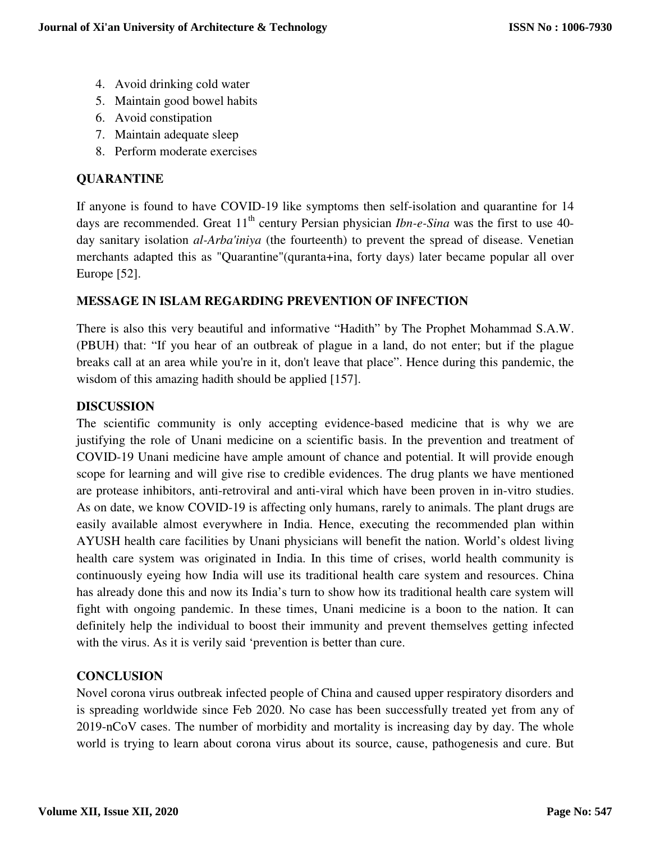- 4. Avoid drinking cold water
- 5. Maintain good bowel habits
- 6. Avoid constipation
- 7. Maintain adequate sleep
- 8. Perform moderate exercises

## **QUARANTINE**

If anyone is found to have COVID-19 like symptoms then self-isolation and quarantine for 14 days are recommended. Great 11<sup>th</sup> century Persian physician *Ibn-e-Sina* was the first to use 40day sanitary isolation *al-Arba'iniya* (the fourteenth) to prevent the spread of disease. Venetian merchants adapted this as "Quarantine"(quranta+ina, forty days) later became popular all over Europe [52].

## **MESSAGE IN ISLAM REGARDING PREVENTION OF INFECTION**

There is also this very beautiful and informative "Hadith" by The Prophet Mohammad S.A.W. (PBUH) that: "If you hear of an outbreak of plague in a land, do not enter; but if the plague breaks call at an area while you're in it, don't leave that place". Hence during this pandemic, the wisdom of this amazing hadith should be applied [157].

### **DISCUSSION**

The scientific community is only accepting evidence-based medicine that is why we are justifying the role of Unani medicine on a scientific basis. In the prevention and treatment of COVID-19 Unani medicine have ample amount of chance and potential. It will provide enough scope for learning and will give rise to credible evidences. The drug plants we have mentioned are protease inhibitors, anti-retroviral and anti-viral which have been proven in in-vitro studies. As on date, we know COVID-19 is affecting only humans, rarely to animals. The plant drugs are easily available almost everywhere in India. Hence, executing the recommended plan within AYUSH health care facilities by Unani physicians will benefit the nation. World's oldest living health care system was originated in India. In this time of crises, world health community is continuously eyeing how India will use its traditional health care system and resources. China has already done this and now its India's turn to show how its traditional health care system will fight with ongoing pandemic. In these times, Unani medicine is a boon to the nation. It can definitely help the individual to boost their immunity and prevent themselves getting infected with the virus. As it is verily said 'prevention is better than cure.

## **CONCLUSION**

Novel corona virus outbreak infected people of China and caused upper respiratory disorders and is spreading worldwide since Feb 2020. No case has been successfully treated yet from any of 2019-nCoV cases. The number of morbidity and mortality is increasing day by day. The whole world is trying to learn about corona virus about its source, cause, pathogenesis and cure. But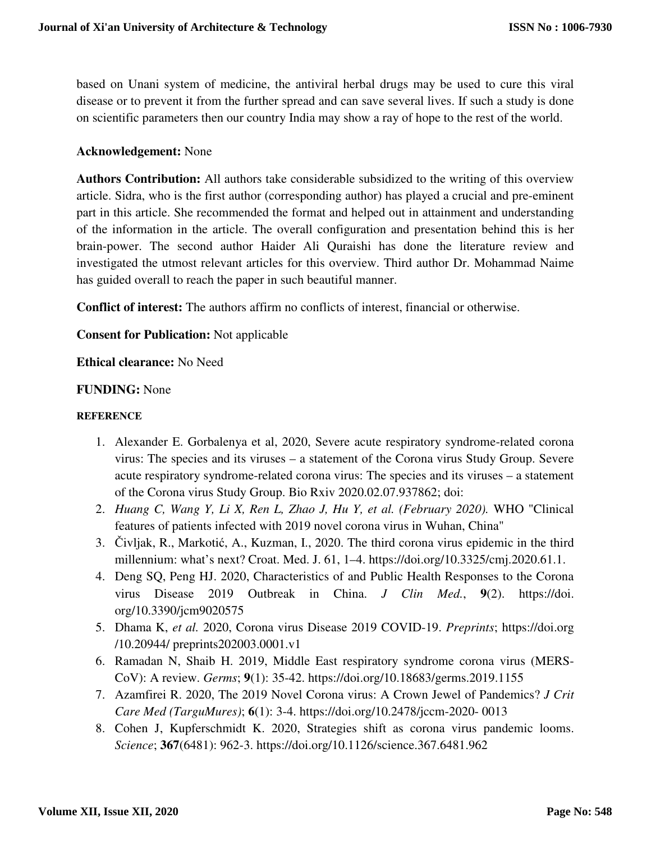based on Unani system of medicine, the antiviral herbal drugs may be used to cure this viral disease or to prevent it from the further spread and can save several lives. If such a study is done on scientific parameters then our country India may show a ray of hope to the rest of the world.

### **Acknowledgement:** None

**Authors Contribution:** All authors take considerable subsidized to the writing of this overview article. Sidra, who is the first author (corresponding author) has played a crucial and pre-eminent part in this article. She recommended the format and helped out in attainment and understanding of the information in the article. The overall configuration and presentation behind this is her brain-power. The second author Haider Ali Quraishi has done the literature review and investigated the utmost relevant articles for this overview. Third author Dr. Mohammad Naime has guided overall to reach the paper in such beautiful manner.

**Conflict of interest:** The authors affirm no conflicts of interest, financial or otherwise.

### **Consent for Publication:** Not applicable

#### **Ethical clearance:** No Need

#### **FUNDING:** None

#### **REFERENCE**

- 1. Alexander E. Gorbalenya et al, 2020, Severe acute respiratory syndrome-related corona virus: The species and its viruses – a statement of the Corona virus Study Group. Severe acute respiratory syndrome-related corona virus: The species and its viruses – a statement of the Corona virus Study Group. Bio Rxiv 2020.02.07.937862; doi:
- 2. *Huang C, Wang Y, Li X, Ren L, Zhao J, Hu Y, et al. (February 2020).* WHO "Clinical features of patients infected with 2019 novel corona virus in Wuhan, China"
- 3. Čivljak, R., Markotić, A., Kuzman, I., 2020. The third corona virus epidemic in the third millennium: what's next? Croat. Med. J. 61, 1–4. https://doi.org/10.3325/cmj.2020.61.1.
- 4. Deng SQ, Peng HJ. 2020, Characteristics of and Public Health Responses to the Corona virus Disease 2019 Outbreak in China. *J Clin Med.*, **9**(2). https://doi. org/10.3390/jcm9020575
- 5. Dhama K, *et al.* 2020, Corona virus Disease 2019 COVID-19. *Preprints*; https://doi.org /10.20944/ preprints202003.0001.v1
- 6. Ramadan N, Shaib H. 2019, Middle East respiratory syndrome corona virus (MERS-CoV): A review. *Germs*; **9**(1): 35-42. https://doi.org/10.18683/germs.2019.1155
- 7. Azamfirei R. 2020, The 2019 Novel Corona virus: A Crown Jewel of Pandemics? *J Crit Care Med (TarguMures)*; **6**(1): 3-4. https://doi.org/10.2478/jccm-2020- 0013
- 8. Cohen J, Kupferschmidt K. 2020, Strategies shift as corona virus pandemic looms. *Science*; **367**(6481): 962-3. https://doi.org/10.1126/science.367.6481.962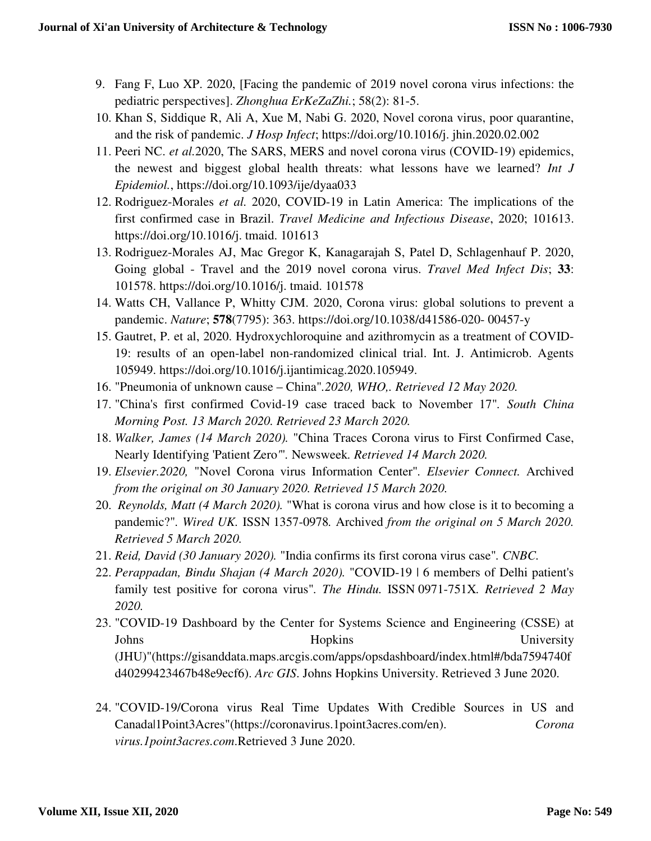- 9. Fang F, Luo XP. 2020, [Facing the pandemic of 2019 novel corona virus infections: the pediatric perspectives]. *Zhonghua ErKeZaZhi.*; 58(2): 81-5.
- 10. Khan S, Siddique R, Ali A, Xue M, Nabi G. 2020, Novel corona virus, poor quarantine, and the risk of pandemic. *J Hosp Infect*; https://doi.org/10.1016/j. jhin.2020.02.002
- 11. Peeri NC. *et al.*2020, The SARS, MERS and novel corona virus (COVID-19) epidemics, the newest and biggest global health threats: what lessons have we learned? *Int J Epidemiol.*, https://doi.org/10.1093/ije/dyaa033
- 12. Rodriguez-Morales *et al.* 2020, COVID-19 in Latin America: The implications of the first confirmed case in Brazil. *Travel Medicine and Infectious Disease*, 2020; 101613. https://doi.org/10.1016/j. tmaid. 101613
- 13. Rodriguez-Morales AJ, Mac Gregor K, Kanagarajah S, Patel D, Schlagenhauf P. 2020, Going global - Travel and the 2019 novel corona virus. *Travel Med Infect Dis*; **33**: 101578. https://doi.org/10.1016/j. tmaid. 101578
- 14. Watts CH, Vallance P, Whitty CJM. 2020, Corona virus: global solutions to prevent a pandemic. *Nature*; **578**(7795): 363. https://doi.org/10.1038/d41586-020- 00457-y
- 15. Gautret, P. et al, 2020. Hydroxychloroquine and azithromycin as a treatment of COVID-19: results of an open-label non-randomized clinical trial. Int. J. Antimicrob. Agents 105949. https://doi.org/10.1016/j.ijantimicag.2020.105949.
- 16. "Pneumonia of unknown cause China"*.2020, WHO,. Retrieved 12 May 2020.*
- 17. "China's first confirmed Covid-19 case traced back to November 17"*. South China Morning Post. 13 March 2020. Retrieved 23 March 2020.*
- 18. *Walker, James (14 March 2020).* "China Traces Corona virus to First Confirmed Case, Nearly Identifying 'Patient Zero*'*"*.* Newsweek*. Retrieved 14 March 2020.*
- 19. *Elsevier.2020,* "Novel Corona virus Information Center"*. Elsevier Connect.* Archived *from the original on 30 January 2020. Retrieved 15 March 2020.*
- 20. *Reynolds, Matt (4 March 2020).* "What is corona virus and how close is it to becoming a pandemic?"*. Wired UK.* ISSN 1357-0978*.* Archived *from the original on 5 March 2020. Retrieved 5 March 2020.*
- 21. *Reid, David (30 January 2020).* "India confirms its first corona virus case"*. CNBC.*
- 22. *Perappadan, Bindu Shajan (4 March 2020).* "COVID-19 | 6 members of Delhi patient's family test positive for corona virus"*. The Hindu.* ISSN 0971-751X*. Retrieved 2 May 2020.*
- 23. "COVID-19 Dashboard by the Center for Systems Science and Engineering (CSSE) at Johns Hopkins Hopkins University (JHU)"(https://gisanddata.maps.arcgis.com/apps/opsdashboard/index.html#/bda7594740f d40299423467b48e9ecf6). *Arc GIS*. Johns Hopkins University. Retrieved 3 June 2020.
- 24. "COVID-19/Corona virus Real Time Updates With Credible Sources in US and Canada|1Point3Acres"(https://coronavirus.1point3acres.com/en). *Corona virus.1point3acres.com*.Retrieved 3 June 2020.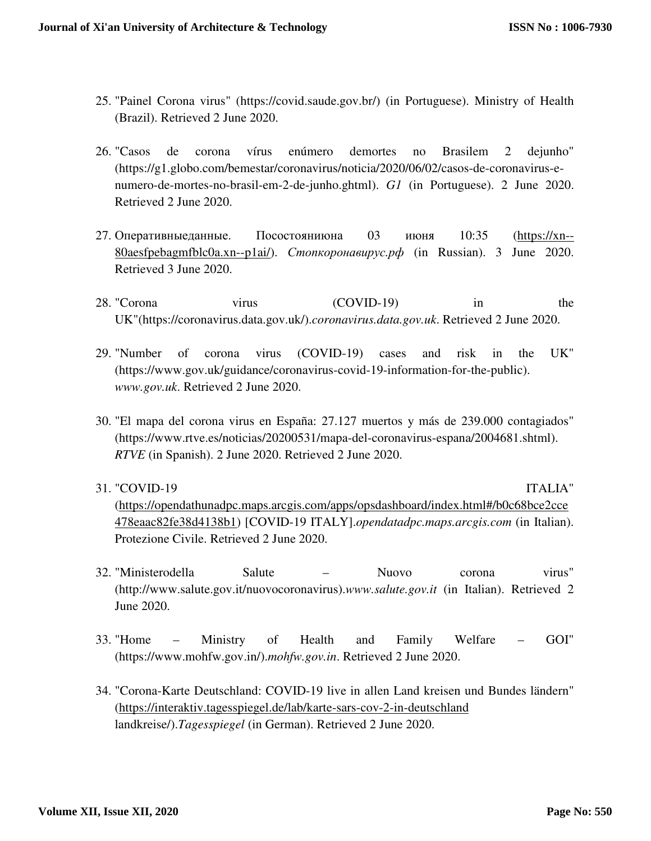- 25. "Painel Corona virus" (https://covid.saude.gov.br/) (in Portuguese). Ministry of Health (Brazil). Retrieved 2 June 2020.
- 26. "Casos de corona vírus enúmero demortes no Brasilem 2 dejunho" (https://g1.globo.com/bemestar/coronavirus/noticia/2020/06/02/casos-de-coronavirus-enumero-de-mortes-no-brasil-em-2-de-junho.ghtml). *G1* (in Portuguese). 2 June 2020. Retrieved 2 June 2020.
- 27. Оперативныеданные. Посостояниюна 03 июня 10:35 (https://xn-- 80aesfpebagmfblc0a.xn--p1ai/). *Стопкоронавирус.рф* (in Russian). 3 June 2020. Retrieved 3 June 2020.
- 28. "Corona virus (COVID-19) in the UK"(https://coronavirus.data.gov.uk/).*coronavirus.data.gov.uk*. Retrieved 2 June 2020.
- 29. "Number of corona virus (COVID-19) cases and risk in the UK" (https://www.gov.uk/guidance/coronavirus-covid-19-information-for-the-public). *www.gov.uk*. Retrieved 2 June 2020.
- 30. "El mapa del corona virus en España: 27.127 muertos y más de 239.000 contagiados" (https://www.rtve.es/noticias/20200531/mapa-del-coronavirus-espana/2004681.shtml). *RTVE* (in Spanish). 2 June 2020. Retrieved 2 June 2020.
- 31. "COVID-19 ITALIA" (https://opendathunadpc.maps.arcgis.com/apps/opsdashboard/index.html#/b0c68bce2cce 478eaac82fe38d4138b1) [COVID-19 ITALY].*opendatadpc.maps.arcgis.com* (in Italian). Protezione Civile. Retrieved 2 June 2020.
- 32. "Ministerodella Salute Nuovo corona virus" (http://www.salute.gov.it/nuovocoronavirus).*www.salute.gov.it* (in Italian). Retrieved 2 June 2020.
- 33. "Home Ministry of Health and Family Welfare GOI" (https://www.mohfw.gov.in/).*mohfw.gov.in*. Retrieved 2 June 2020.
- 34. "Corona-Karte Deutschland: COVID-19 live in allen Land kreisen und Bundes ländern" (https://interaktiv.tagesspiegel.de/lab/karte-sars-cov-2-in-deutschland landkreise/).*Tagesspiegel* (in German). Retrieved 2 June 2020.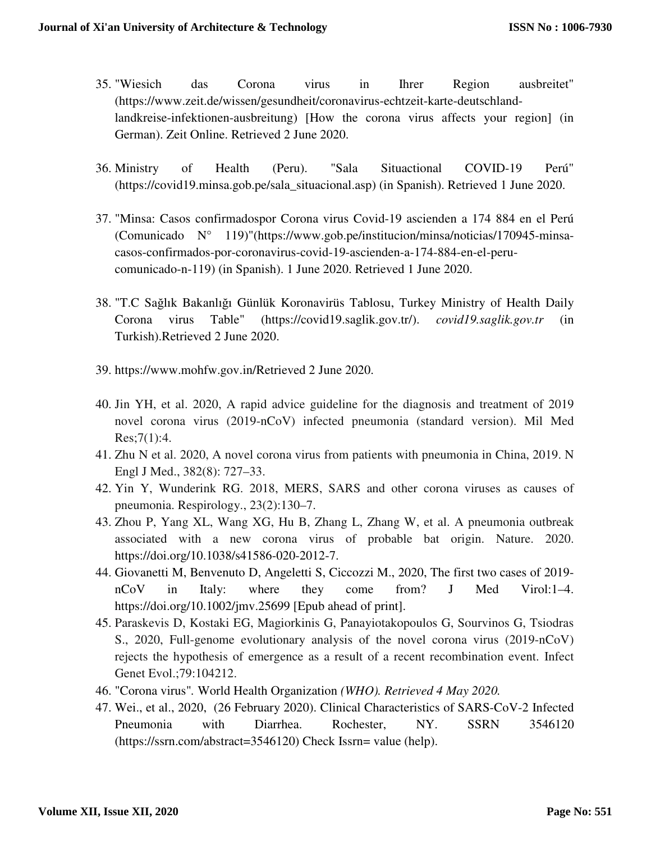- 35. "Wiesich das Corona virus in Ihrer Region ausbreitet" (https://www.zeit.de/wissen/gesundheit/coronavirus-echtzeit-karte-deutschlandlandkreise-infektionen-ausbreitung) [How the corona virus affects your region] (in German). Zeit Online. Retrieved 2 June 2020.
- 36. Ministry of Health (Peru). "Sala Situactional COVID-19 Perú" (https://covid19.minsa.gob.pe/sala\_situacional.asp) (in Spanish). Retrieved 1 June 2020.
- 37. "Minsa: Casos confirmadospor Corona virus Covid-19 ascienden a 174 884 en el Perú (Comunicado N° 119)"(https://www.gob.pe/institucion/minsa/noticias/170945-minsacasos-confirmados-por-coronavirus-covid-19-ascienden-a-174-884-en-el-perucomunicado-n-119) (in Spanish). 1 June 2020. Retrieved 1 June 2020.
- 38. "T.C Sağlık Bakanlığı Günlük Koronavirüs Tablosu, Turkey Ministry of Health Daily Corona virus Table" (https://covid19.saglik.gov.tr/). *covid19.saglik.gov.tr* (in Turkish).Retrieved 2 June 2020.
- 39. https://www.mohfw.gov.in/Retrieved 2 June 2020.
- 40. Jin YH, et al. 2020, A rapid advice guideline for the diagnosis and treatment of 2019 novel corona virus (2019-nCoV) infected pneumonia (standard version). Mil Med  $Res$ ;7(1):4.
- 41. Zhu N et al. 2020, A novel corona virus from patients with pneumonia in China, 2019. N Engl J Med., 382(8): 727–33.
- 42. Yin Y, Wunderink RG. 2018, MERS, SARS and other corona viruses as causes of pneumonia. Respirology., 23(2):130–7.
- 43. Zhou P, Yang XL, Wang XG, Hu B, Zhang L, Zhang W, et al. A pneumonia outbreak associated with a new corona virus of probable bat origin. Nature. 2020. https://doi.org/10.1038/s41586-020-2012-7.
- 44. Giovanetti M, Benvenuto D, Angeletti S, Ciccozzi M., 2020, The first two cases of 2019 nCoV in Italy: where they come from? J Med Virol:1–4. https://doi.org/10.1002/jmv.25699 [Epub ahead of print].
- 45. Paraskevis D, Kostaki EG, Magiorkinis G, Panayiotakopoulos G, Sourvinos G, Tsiodras S., 2020, Full-genome evolutionary analysis of the novel corona virus (2019-nCoV) rejects the hypothesis of emergence as a result of a recent recombination event. Infect Genet Evol.;79:104212.
- 46. "Corona virus"*.* World Health Organization *(WHO). Retrieved 4 May 2020.*
- 47. Wei., et al., 2020, (26 February 2020). Clinical Characteristics of SARS-CoV-2 Infected Pneumonia with Diarrhea. Rochester, NY. SSRN 3546120 (https://ssrn.com/abstract=3546120) Check Issrn= value (help).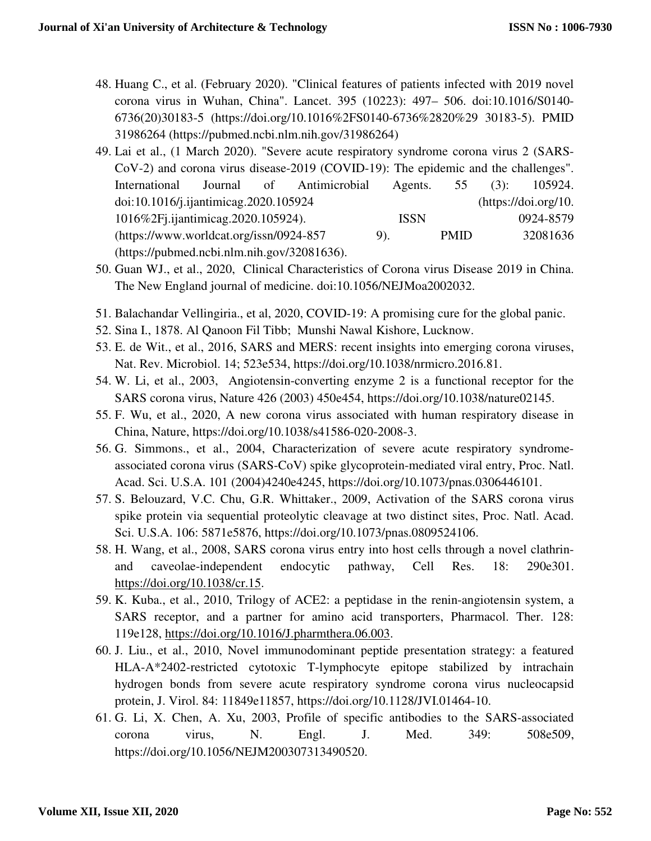- 48. Huang C., et al. (February 2020). "Clinical features of patients infected with 2019 novel corona virus in Wuhan, China". Lancet. 395 (10223): 497– 506. doi:10.1016/S0140- 6736(20)30183-5 (https://doi.org/10.1016%2FS0140-6736%2820%29 30183-5). PMID 31986264 (https://pubmed.ncbi.nlm.nih.gov/31986264)
- 49. Lai et al., (1 March 2020). "Severe acute respiratory syndrome corona virus 2 (SARS-CoV-2) and corona virus disease-2019 (COVID-19): The epidemic and the challenges". International Journal of Antimicrobial Agents. 55 (3): 105924. doi:10.1016/j.ijantimicag.2020.105924 (https://doi.org/10. 1016%2Fj.ijantimicag.2020.105924). ISSN 0924-8579 (https://www.worldcat.org/issn/0924-857 9). PMID 32081636 (https://pubmed.ncbi.nlm.nih.gov/32081636).
- 50. Guan WJ., et al., 2020, Clinical Characteristics of Corona virus Disease 2019 in China. The New England journal of medicine. doi:10.1056/NEJMoa2002032.
- 51. Balachandar Vellingiria., et al, 2020, COVID-19: A promising cure for the global panic.
- 52. Sina I., 1878. Al Qanoon Fil Tibb; Munshi Nawal Kishore, Lucknow.
- 53. E. de Wit., et al., 2016, SARS and MERS: recent insights into emerging corona viruses, Nat. Rev. Microbiol. 14; 523e534, https://doi.org/10.1038/nrmicro.2016.81.
- 54. W. Li, et al., 2003, Angiotensin-converting enzyme 2 is a functional receptor for the SARS corona virus, Nature 426 (2003) 450e454, https://doi.org/10.1038/nature02145.
- 55. F. Wu, et al., 2020, A new corona virus associated with human respiratory disease in China, Nature, https://doi.org/10.1038/s41586-020-2008-3.
- 56. G. Simmons., et al., 2004, Characterization of severe acute respiratory syndromeassociated corona virus (SARS-CoV) spike glycoprotein-mediated viral entry, Proc. Natl. Acad. Sci. U.S.A. 101 (2004)4240e4245, https://doi.org/10.1073/pnas.0306446101.
- 57. S. Belouzard, V.C. Chu, G.R. Whittaker., 2009, Activation of the SARS corona virus spike protein via sequential proteolytic cleavage at two distinct sites, Proc. Natl. Acad. Sci. U.S.A. 106: 5871e5876, https://doi.org/10.1073/pnas.0809524106.
- 58. H. Wang, et al., 2008, SARS corona virus entry into host cells through a novel clathrinand caveolae-independent endocytic pathway, Cell Res. 18: 290e301. https://doi.org/10.1038/cr.15.
- 59. K. Kuba., et al., 2010, Trilogy of ACE2: a peptidase in the renin-angiotensin system, a SARS receptor, and a partner for amino acid transporters, Pharmacol. Ther. 128: 119e128, https://doi.org/10.1016/J.pharmthera.06.003.
- 60. J. Liu., et al., 2010, Novel immunodominant peptide presentation strategy: a featured HLA-A\*2402-restricted cytotoxic T-lymphocyte epitope stabilized by intrachain hydrogen bonds from severe acute respiratory syndrome corona virus nucleocapsid protein, J. Virol. 84: 11849e11857, https://doi.org/10.1128/JVI.01464-10.
- 61. G. Li, X. Chen, A. Xu, 2003, Profile of specific antibodies to the SARS-associated corona virus, N. Engl. J. Med. 349: 508e509, https://doi.org/10.1056/NEJM200307313490520.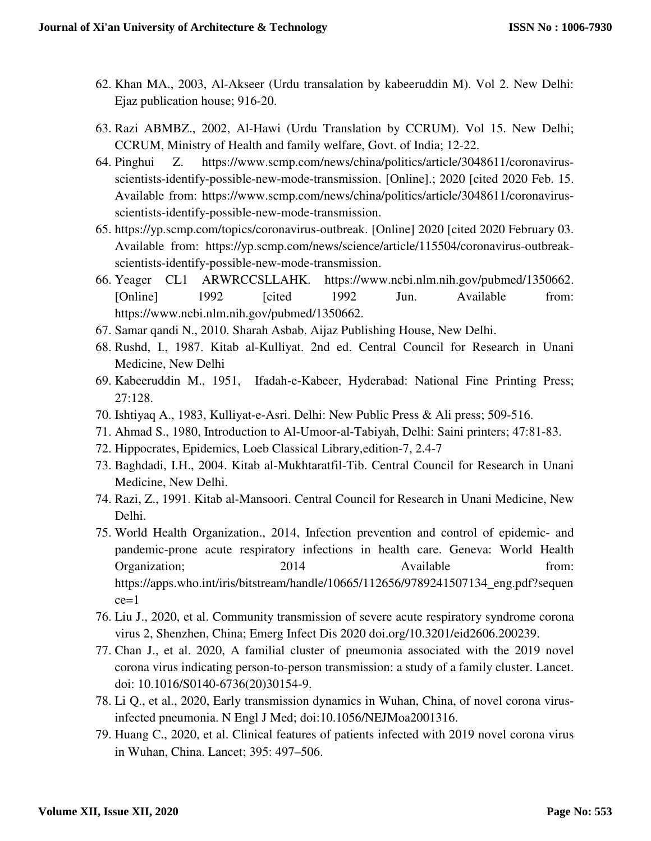- 62. Khan MA., 2003, Al-Akseer (Urdu transalation by kabeeruddin M). Vol 2. New Delhi: Ejaz publication house; 916-20.
- 63. Razi ABMBZ., 2002, Al-Hawi (Urdu Translation by CCRUM). Vol 15. New Delhi; CCRUM, Ministry of Health and family welfare, Govt. of India; 12-22.
- 64. Pinghui Z. https://www.scmp.com/news/china/politics/article/3048611/coronavirusscientists-identify-possible-new-mode-transmission. [Online].; 2020 [cited 2020 Feb. 15. Available from: https://www.scmp.com/news/china/politics/article/3048611/coronavirusscientists-identify-possible-new-mode-transmission.
- 65. https://yp.scmp.com/topics/coronavirus-outbreak. [Online] 2020 [cited 2020 February 03. Available from: https://yp.scmp.com/news/science/article/115504/coronavirus-outbreakscientists-identify-possible-new-mode-transmission.
- 66. Yeager CL1 ARWRCCSLLAHK. https://www.ncbi.nlm.nih.gov/pubmed/1350662. [Online] 1992 [cited 1992 Jun. Available from: https://www.ncbi.nlm.nih.gov/pubmed/1350662.
- 67. Samar qandi N., 2010. Sharah Asbab. Aijaz Publishing House, New Delhi.
- 68. Rushd, I., 1987. Kitab al-Kulliyat. 2nd ed. Central Council for Research in Unani Medicine, New Delhi
- 69. Kabeeruddin M., 1951, Ifadah-e-Kabeer, Hyderabad: National Fine Printing Press; 27:128.
- 70. Ishtiyaq A., 1983, Kulliyat-e-Asri. Delhi: New Public Press & Ali press; 509-516.
- 71. Ahmad S., 1980, Introduction to Al-Umoor-al-Tabiyah, Delhi: Saini printers; 47:81-83.
- 72. Hippocrates, Epidemics, Loeb Classical Library,edition-7, 2.4-7
- 73. Baghdadi, I.H., 2004. Kitab al-Mukhtaratfil-Tib. Central Council for Research in Unani Medicine, New Delhi.
- 74. Razi, Z., 1991. Kitab al-Mansoori. Central Council for Research in Unani Medicine, New Delhi.
- 75. World Health Organization., 2014, Infection prevention and control of epidemic- and pandemic-prone acute respiratory infections in health care. Geneva: World Health Organization; 2014 Available from: https://apps.who.int/iris/bitstream/handle/10665/112656/9789241507134\_eng.pdf?sequen  $ce=1$
- 76. Liu J., 2020, et al. Community transmission of severe acute respiratory syndrome corona virus 2, Shenzhen, China; Emerg Infect Dis 2020 doi.org/10.3201/eid2606.200239.
- 77. Chan J., et al. 2020, A familial cluster of pneumonia associated with the 2019 novel corona virus indicating person-to-person transmission: a study of a family cluster. Lancet. doi: 10.1016/S0140-6736(20)30154-9.
- 78. Li Q., et al., 2020, Early transmission dynamics in Wuhan, China, of novel corona virusinfected pneumonia. N Engl J Med; doi:10.1056/NEJMoa2001316.
- 79. Huang C., 2020, et al. Clinical features of patients infected with 2019 novel corona virus in Wuhan, China. Lancet; 395: 497–506.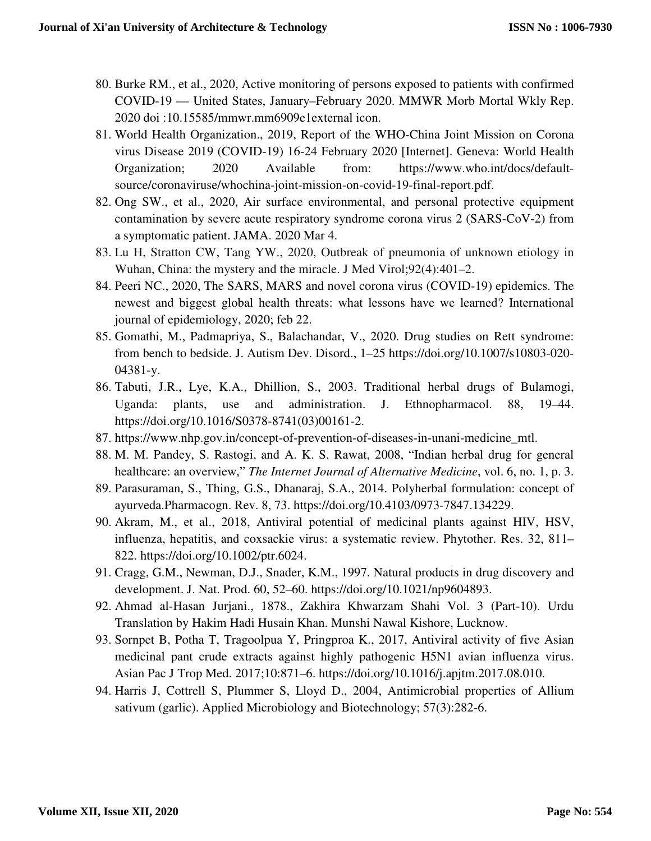- 80. Burke RM., et al., 2020, Active monitoring of persons exposed to patients with confirmed COVID-19 — United States, January–February 2020. MMWR Morb Mortal Wkly Rep. 2020 doi :10.15585/mmwr.mm6909e1external icon.
- 81. World Health Organization., 2019, Report of the WHO-China Joint Mission on Corona virus Disease 2019 (COVID-19) 16-24 February 2020 [Internet]. Geneva: World Health Organization; 2020 Available from: https://www.who.int/docs/defaultsource/coronaviruse/whochina-joint-mission-on-covid-19-final-report.pdf.
- 82. Ong SW., et al., 2020, Air surface environmental, and personal protective equipment contamination by severe acute respiratory syndrome corona virus 2 (SARS-CoV-2) from a symptomatic patient. JAMA. 2020 Mar 4.
- 83. Lu H, Stratton CW, Tang YW., 2020, Outbreak of pneumonia of unknown etiology in Wuhan, China: the mystery and the miracle. J Med Virol;92(4):401–2.
- 84. Peeri NC., 2020, The SARS, MARS and novel corona virus (COVID-19) epidemics. The newest and biggest global health threats: what lessons have we learned? International journal of epidemiology, 2020; feb 22.
- 85. Gomathi, M., Padmapriya, S., Balachandar, V., 2020. Drug studies on Rett syndrome: from bench to bedside. J. Autism Dev. Disord., 1–25 https://doi.org/10.1007/s10803-020- 04381-y.
- 86. Tabuti, J.R., Lye, K.A., Dhillion, S., 2003. Traditional herbal drugs of Bulamogi, Uganda: plants, use and administration. J. Ethnopharmacol. 88, 19–44. https://doi.org/10.1016/S0378-8741(03)00161-2.
- 87. https://www.nhp.gov.in/concept-of-prevention-of-diseases-in-unani-medicine\_mtl.
- 88. M. M. Pandey, S. Rastogi, and A. K. S. Rawat, 2008, "Indian herbal drug for general healthcare: an overview," *The Internet Journal of Alternative Medicine*, vol. 6, no. 1, p. 3.
- 89. Parasuraman, S., Thing, G.S., Dhanaraj, S.A., 2014. Polyherbal formulation: concept of ayurveda.Pharmacogn. Rev. 8, 73. https://doi.org/10.4103/0973-7847.134229.
- 90. Akram, M., et al., 2018, Antiviral potential of medicinal plants against HIV, HSV, influenza, hepatitis, and coxsackie virus: a systematic review. Phytother. Res. 32, 811– 822. https://doi.org/10.1002/ptr.6024.
- 91. Cragg, G.M., Newman, D.J., Snader, K.M., 1997. Natural products in drug discovery and development. J. Nat. Prod. 60, 52–60. https://doi.org/10.1021/np9604893.
- 92. Ahmad al-Hasan Jurjani., 1878., Zakhira Khwarzam Shahi Vol. 3 (Part-10). Urdu Translation by Hakim Hadi Husain Khan. Munshi Nawal Kishore, Lucknow.
- 93. Sornpet B, Potha T, Tragoolpua Y, Pringproa K., 2017, Antiviral activity of five Asian medicinal pant crude extracts against highly pathogenic H5N1 avian influenza virus. Asian Pac J Trop Med. 2017;10:871–6. https://doi.org/10.1016/j.apjtm.2017.08.010.
- 94. Harris J, Cottrell S, Plummer S, Lloyd D., 2004, Antimicrobial properties of Allium sativum (garlic). Applied Microbiology and Biotechnology; 57(3):282-6.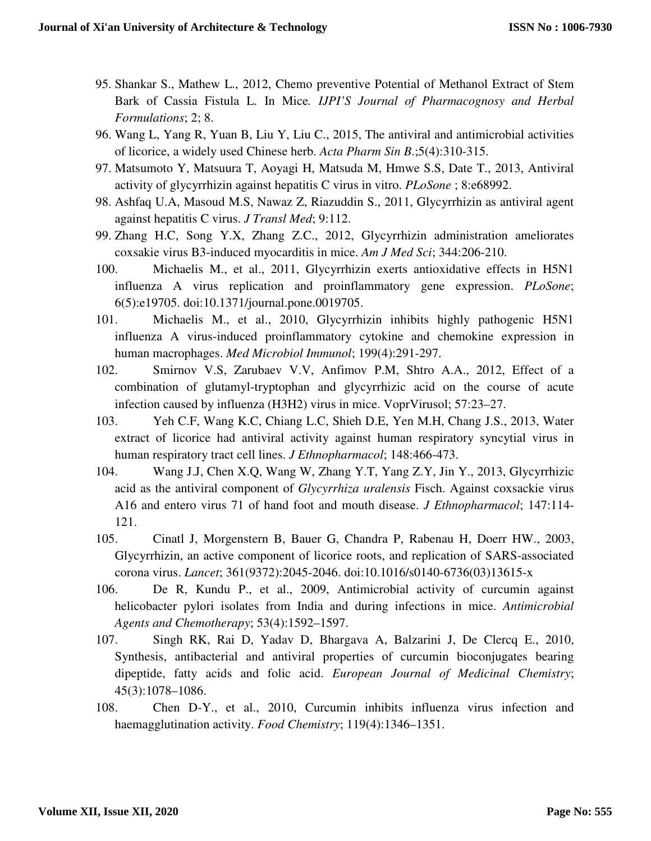- 95. Shankar S., Mathew L., 2012, Chemo preventive Potential of Methanol Extract of Stem Bark of Cassia Fistula L. In Mice*. IJPI'S Journal of Pharmacognosy and Herbal Formulations*; 2; 8.
- 96. Wang L, Yang R, Yuan B, Liu Y, Liu C., 2015, The antiviral and antimicrobial activities of licorice, a widely used Chinese herb. *Acta Pharm Sin B*.;5(4):310-315.
- 97. Matsumoto Y, Matsuura T, Aoyagi H, Matsuda M, Hmwe S.S, Date T., 2013, Antiviral activity of glycyrrhizin against hepatitis C virus in vitro. *PLoSone* ; 8:e68992.
- 98. Ashfaq U.A, Masoud M.S, Nawaz Z, Riazuddin S., 2011, Glycyrrhizin as antiviral agent against hepatitis C virus. *J Transl Med*; 9:112.
- 99. Zhang H.C, Song Y.X, Zhang Z.C., 2012, Glycyrrhizin administration ameliorates coxsakie virus B3-induced myocarditis in mice. *Am J Med Sci*; 344:206-210.
- 100. Michaelis M., et al., 2011, Glycyrrhizin exerts antioxidative effects in H5N1 influenza A virus replication and proinflammatory gene expression. *PLoSone*; 6(5):e19705. doi:10.1371/journal.pone.0019705.
- 101. Michaelis M., et al., 2010, Glycyrrhizin inhibits highly pathogenic H5N1 influenza A virus-induced proinflammatory cytokine and chemokine expression in human macrophages. *Med Microbiol Immunol*; 199(4):291-297.
- 102. Smirnov V.S, Zarubaev V.V, Anfimov P.M, Shtro A.A., 2012, Effect of a combination of glutamyl-tryptophan and glycyrrhizic acid on the course of acute infection caused by influenza (H3H2) virus in mice. VoprVirusol; 57:23–27.
- 103. Yeh C.F, Wang K.C, Chiang L.C, Shieh D.E, Yen M.H, Chang J.S., 2013, Water extract of licorice had antiviral activity against human respiratory syncytial virus in human respiratory tract cell lines. *J Ethnopharmacol*; 148:466-473.
- 104. Wang J.J, Chen X.Q, Wang W, Zhang Y.T, Yang Z.Y, Jin Y., 2013, Glycyrrhizic acid as the antiviral component of *Glycyrrhiza uralensis* Fisch. Against coxsackie virus A16 and entero virus 71 of hand foot and mouth disease. *J Ethnopharmacol*; 147:114- 121.
- 105. Cinatl J, Morgenstern B, Bauer G, Chandra P, Rabenau H, Doerr HW., 2003, Glycyrrhizin, an active component of licorice roots, and replication of SARS-associated corona virus. *Lancet*; 361(9372):2045-2046. doi:10.1016/s0140-6736(03)13615-x
- 106. De R, Kundu P., et al., 2009, Antimicrobial activity of curcumin against helicobacter pylori isolates from India and during infections in mice. *Antimicrobial Agents and Chemotherapy*; 53(4):1592–1597.
- 107. Singh RK, Rai D, Yadav D, Bhargava A, Balzarini J, De Clercq E., 2010, Synthesis, antibacterial and antiviral properties of curcumin bioconjugates bearing dipeptide, fatty acids and folic acid. *European Journal of Medicinal Chemistry*; 45(3):1078–1086.
- 108. Chen D-Y., et al., 2010, Curcumin inhibits influenza virus infection and haemagglutination activity. *Food Chemistry*; 119(4):1346–1351.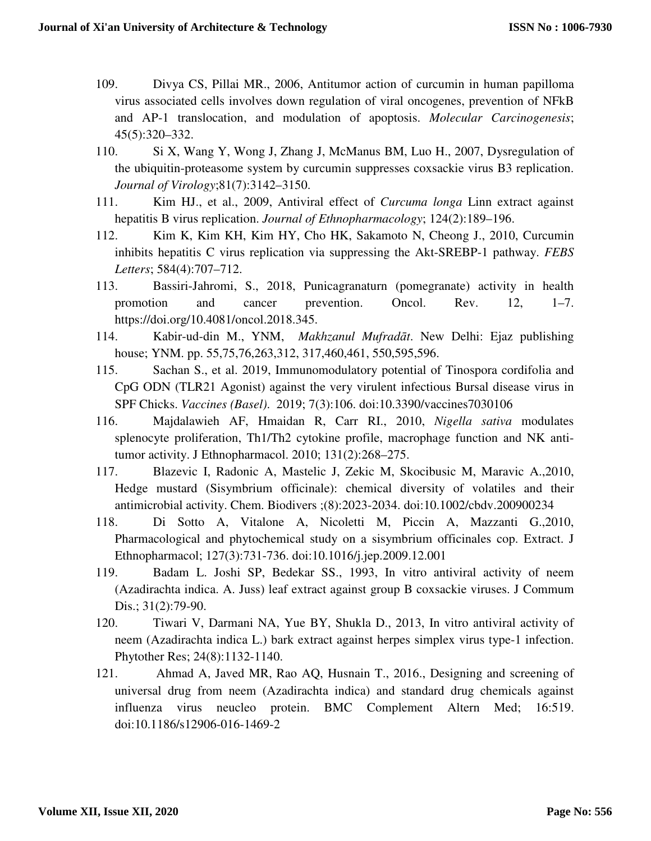- 109. Divya CS, Pillai MR., 2006, Antitumor action of curcumin in human papilloma virus associated cells involves down regulation of viral oncogenes, prevention of NFkB and AP-1 translocation, and modulation of apoptosis. *Molecular Carcinogenesis*; 45(5):320–332.
- 110. Si X, Wang Y, Wong J, Zhang J, McManus BM, Luo H., 2007, Dysregulation of the ubiquitin-proteasome system by curcumin suppresses coxsackie virus B3 replication. *Journal of Virology*;81(7):3142–3150.
- 111. Kim HJ., et al., 2009, Antiviral effect of *Curcuma longa* Linn extract against hepatitis B virus replication. *Journal of Ethnopharmacology*; 124(2):189–196.
- 112. Kim K, Kim KH, Kim HY, Cho HK, Sakamoto N, Cheong J., 2010, Curcumin inhibits hepatitis C virus replication via suppressing the Akt-SREBP-1 pathway. *FEBS Letters*; 584(4):707–712.
- 113. Bassiri-Jahromi, S., 2018, Punicagranaturn (pomegranate) activity in health promotion and cancer prevention. Oncol. Rev. 12, 1–7. https://doi.org/10.4081/oncol.2018.345.
- 114. Kabir-ud-din M., YNM, *Makhzanul Mufradāt*. New Delhi: Ejaz publishing house; YNM. pp. 55,75,76,263,312, 317,460,461, 550,595,596.
- 115. Sachan S., et al. 2019, Immunomodulatory potential of Tinospora cordifolia and CpG ODN (TLR21 Agonist) against the very virulent infectious Bursal disease virus in SPF Chicks. *Vaccines (Basel)*. 2019; 7(3):106. doi:10.3390/vaccines7030106
- 116. Majdalawieh AF, Hmaidan R, Carr RI., 2010, *Nigella sativa* modulates splenocyte proliferation, Th1/Th2 cytokine profile, macrophage function and NK antitumor activity. J Ethnopharmacol. 2010; 131(2):268–275.
- 117. Blazevic I, Radonic A, Mastelic J, Zekic M, Skocibusic M, Maravic A.,2010, Hedge mustard (Sisymbrium officinale): chemical diversity of volatiles and their antimicrobial activity. Chem. Biodivers ;(8):2023-2034. doi:10.1002/cbdv.200900234
- 118. Di Sotto A, Vitalone A, Nicoletti M, Piccin A, Mazzanti G.,2010, Pharmacological and phytochemical study on a sisymbrium officinales cop. Extract. J Ethnopharmacol; 127(3):731-736. doi:10.1016/j.jep.2009.12.001
- 119. Badam L. Joshi SP, Bedekar SS., 1993, In vitro antiviral activity of neem (Azadirachta indica. A. Juss) leaf extract against group B coxsackie viruses. J Commum Dis.; 31(2):79-90.
- 120. Tiwari V, Darmani NA, Yue BY, Shukla D., 2013, In vitro antiviral activity of neem (Azadirachta indica L.) bark extract against herpes simplex virus type-1 infection. Phytother Res; 24(8):1132-1140.
- 121. Ahmad A, Javed MR, Rao AQ, Husnain T., 2016., Designing and screening of universal drug from neem (Azadirachta indica) and standard drug chemicals against influenza virus neucleo protein. BMC Complement Altern Med; 16:519. doi:10.1186/s12906-016-1469-2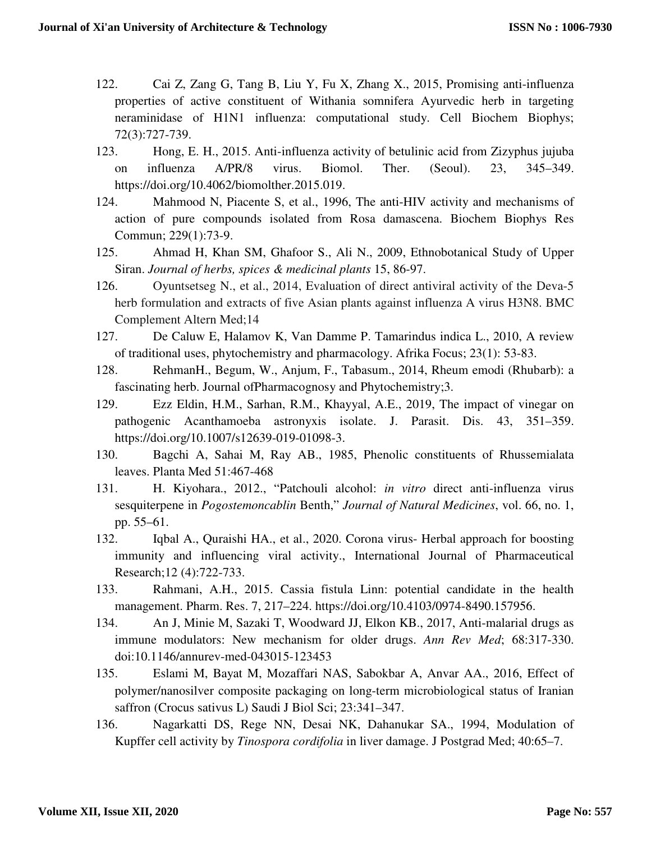- 122. Cai Z, Zang G, Tang B, Liu Y, Fu X, Zhang X., 2015, Promising anti-influenza properties of active constituent of Withania somnifera Ayurvedic herb in targeting neraminidase of H1N1 influenza: computational study. Cell Biochem Biophys; 72(3):727-739.
- 123. Hong, E. H., 2015. Anti-influenza activity of betulinic acid from Zizyphus jujuba on influenza A/PR/8 virus. Biomol. Ther. (Seoul). 23, 345–349. https://doi.org/10.4062/biomolther.2015.019.
- 124. Mahmood N, Piacente S, et al., 1996, The anti-HIV activity and mechanisms of action of pure compounds isolated from Rosa damascena. Biochem Biophys Res Commun; 229(1):73-9.
- 125. Ahmad H, Khan SM, Ghafoor S., Ali N., 2009, Ethnobotanical Study of Upper Siran. *Journal of herbs, spices & medicinal plants* 15, 86-97.
- 126. Oyuntsetseg N., et al., 2014, Evaluation of direct antiviral activity of the Deva-5 herb formulation and extracts of five Asian plants against influenza A virus H3N8. BMC Complement Altern Med;14
- 127. De Caluw E, Halamov K, Van Damme P. Tamarindus indica L., 2010, A review of traditional uses, phytochemistry and pharmacology. Afrika Focus; 23(1): 53-83.
- 128. RehmanH., Begum, W., Anjum, F., Tabasum., 2014, Rheum emodi (Rhubarb): a fascinating herb. Journal ofPharmacognosy and Phytochemistry;3.
- 129. Ezz Eldin, H.M., Sarhan, R.M., Khayyal, A.E., 2019, The impact of vinegar on pathogenic Acanthamoeba astronyxis isolate. J. Parasit. Dis. 43, 351–359. https://doi.org/10.1007/s12639-019-01098-3.
- 130. Bagchi A, Sahai M, Ray AB., 1985, Phenolic constituents of Rhussemialata leaves. Planta Med 51:467-468
- 131. H. Kiyohara., 2012., "Patchouli alcohol: *in vitro* direct anti-influenza virus sesquiterpene in *Pogostemoncablin* Benth," *Journal of Natural Medicines*, vol. 66, no. 1, pp. 55–61.
- 132. Iqbal A., Quraishi HA., et al., 2020. Corona virus- Herbal approach for boosting immunity and influencing viral activity., International Journal of Pharmaceutical Research;12 (4):722-733.
- 133. Rahmani, A.H., 2015. Cassia fistula Linn: potential candidate in the health management. Pharm. Res. 7, 217–224. https://doi.org/10.4103/0974-8490.157956.
- 134. An J, Minie M, Sazaki T, Woodward JJ, Elkon KB., 2017, Anti-malarial drugs as immune modulators: New mechanism for older drugs. *Ann Rev Med*; 68:317-330. doi:10.1146/annurev-med-043015-123453
- 135. Eslami M, Bayat M, Mozaffari NAS, Sabokbar A, Anvar AA., 2016, Effect of polymer/nanosilver composite packaging on long-term microbiological status of Iranian saffron (Crocus sativus L) Saudi J Biol Sci; 23:341–347.
- 136. Nagarkatti DS, Rege NN, Desai NK, Dahanukar SA., 1994, Modulation of Kupffer cell activity by *Tinospora cordifolia* in liver damage. J Postgrad Med; 40:65–7.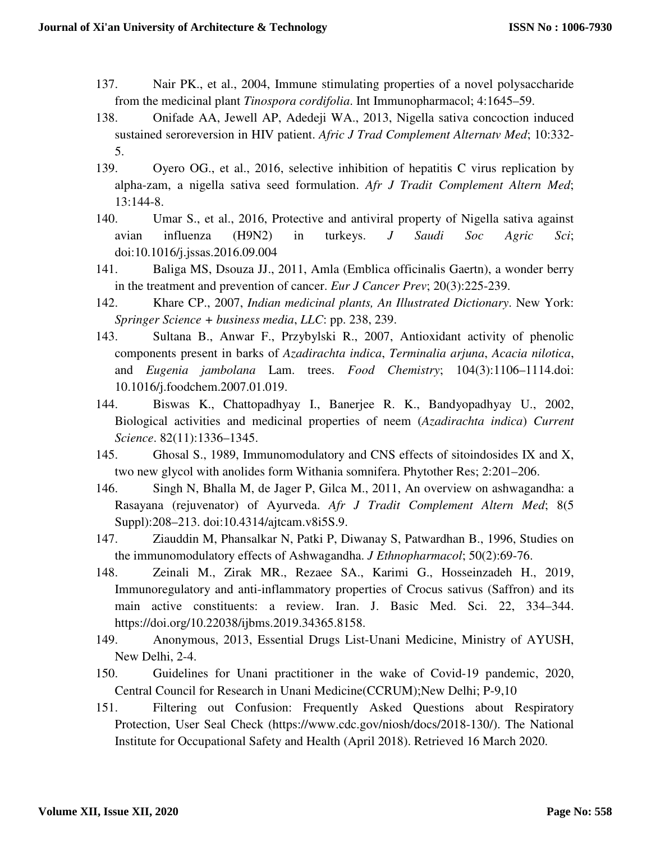- 137. Nair PK., et al., 2004, Immune stimulating properties of a novel polysaccharide from the medicinal plant *Tinospora cordifolia*. Int Immunopharmacol; 4:1645–59.
- 138. Onifade AA, Jewell AP, Adedeji WA., 2013, Nigella sativa concoction induced sustained seroreversion in HIV patient. *Afric J Trad Complement Alternatv Med*; 10:332- 5.
- 139. Oyero OG., et al., 2016, selective inhibition of hepatitis C virus replication by alpha-zam, a nigella sativa seed formulation. *Afr J Tradit Complement Altern Med*; 13:144-8.
- 140. Umar S., et al., 2016, Protective and antiviral property of Nigella sativa against avian influenza (H9N2) in turkeys. *J Saudi Soc Agric Sci*; doi:10.1016/j.jssas.2016.09.004
- 141. Baliga MS, Dsouza JJ., 2011, Amla (Emblica officinalis Gaertn), a wonder berry in the treatment and prevention of cancer. *Eur J Cancer Prev*; 20(3):225-239.
- 142. Khare CP., 2007, *Indian medicinal plants, An Illustrated Dictionary*. New York: *Springer Science + business media*, *LLC*: pp. 238, 239.
- 143. Sultana B., Anwar F., Przybylski R., 2007, Antioxidant activity of phenolic components present in barks of *Azadirachta indica*, *Terminalia arjuna*, *Acacia nilotica*, and *Eugenia jambolana* Lam. trees. *Food Chemistry*; 104(3):1106–1114.doi: 10.1016/j.foodchem.2007.01.019.
- 144. Biswas K., Chattopadhyay I., Banerjee R. K., Bandyopadhyay U., 2002, Biological activities and medicinal properties of neem (*Azadirachta indica*) *Current Science*. 82(11):1336–1345.
- 145. Ghosal S., 1989, Immunomodulatory and CNS effects of sitoindosides IX and X, two new glycol with anolides form Withania somnifera. Phytother Res; 2:201–206.
- 146. Singh N, Bhalla M, de Jager P, Gilca M., 2011, An overview on ashwagandha: a Rasayana (rejuvenator) of Ayurveda. *Afr J Tradit Complement Altern Med*; 8(5 Suppl):208–213. doi:10.4314/ajtcam.v8i5S.9.
- 147. Ziauddin M, Phansalkar N, Patki P, Diwanay S, Patwardhan B., 1996, Studies on the immunomodulatory effects of Ashwagandha. *J Ethnopharmacol*; 50(2):69-76.
- 148. Zeinali M., Zirak MR., Rezaee SA., Karimi G., Hosseinzadeh H., 2019, Immunoregulatory and anti-inflammatory properties of Crocus sativus (Saffron) and its main active constituents: a review. Iran. J. Basic Med. Sci. 22, 334–344. https://doi.org/10.22038/ijbms.2019.34365.8158.
- 149. Anonymous, 2013, Essential Drugs List-Unani Medicine, Ministry of AYUSH, New Delhi, 2-4.
- 150. Guidelines for Unani practitioner in the wake of Covid-19 pandemic, 2020, Central Council for Research in Unani Medicine(CCRUM);New Delhi; P-9,10
- 151. Filtering out Confusion: Frequently Asked Questions about Respiratory Protection, User Seal Check (https://www.cdc.gov/niosh/docs/2018-130/). The National Institute for Occupational Safety and Health (April 2018). Retrieved 16 March 2020.